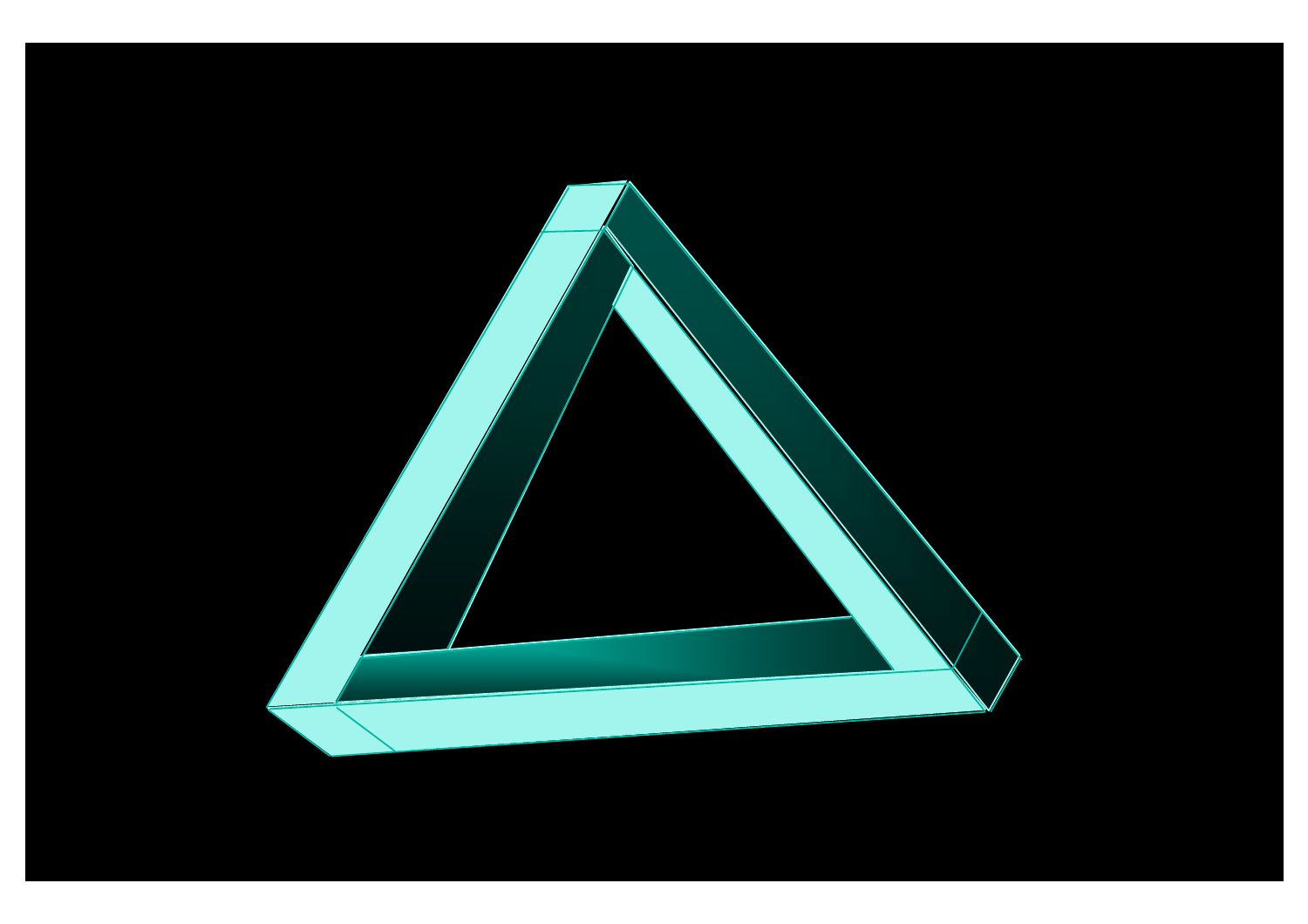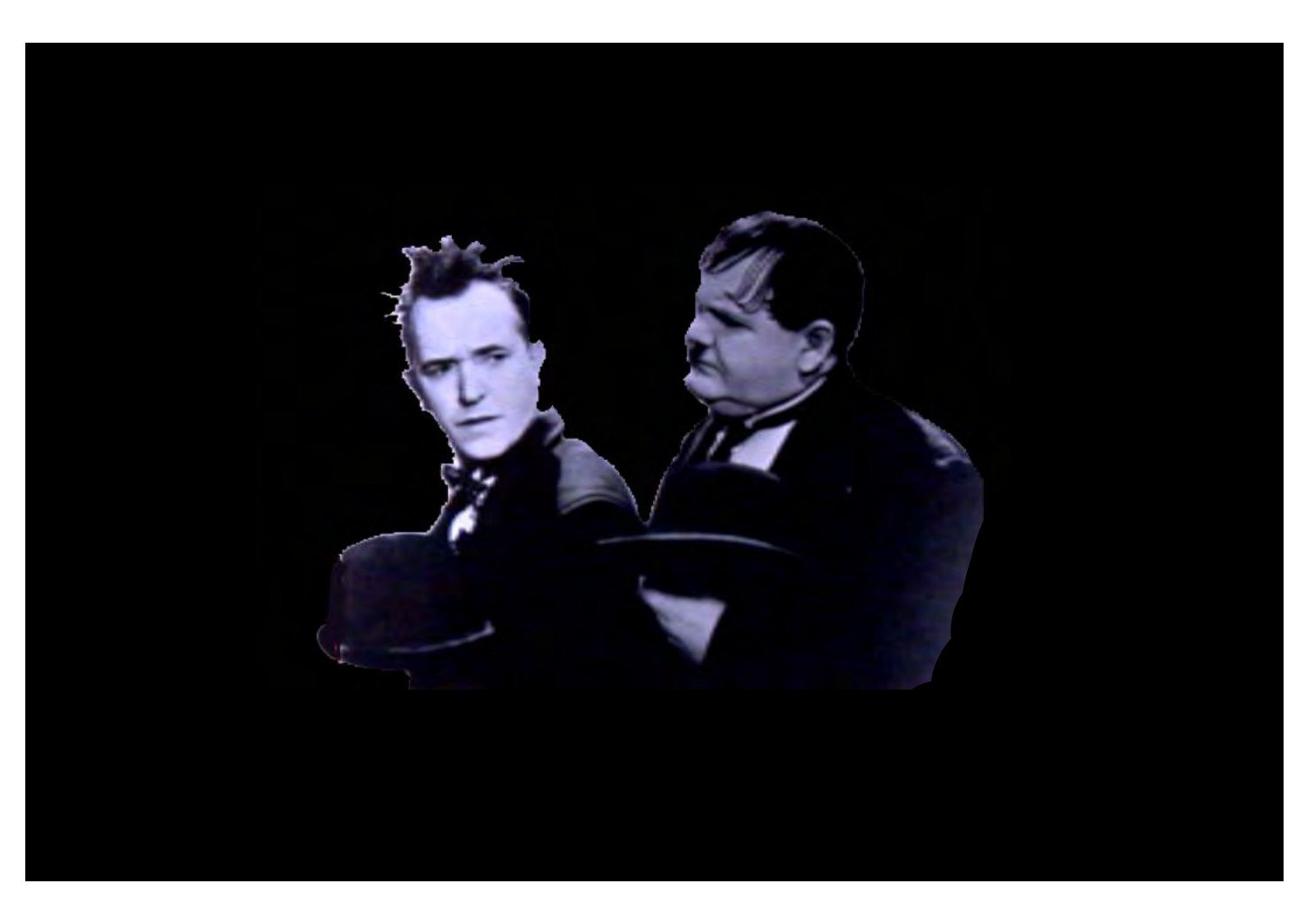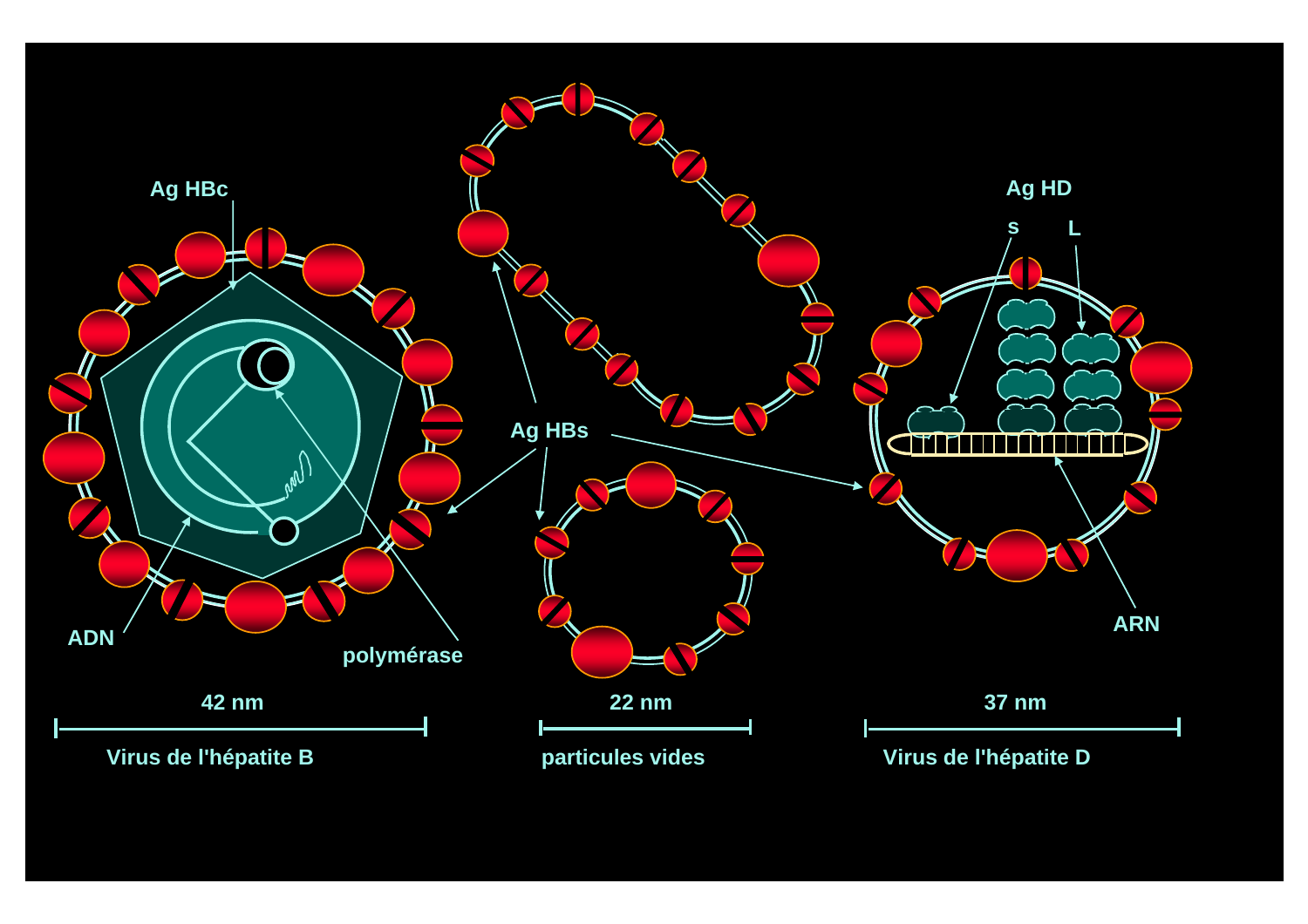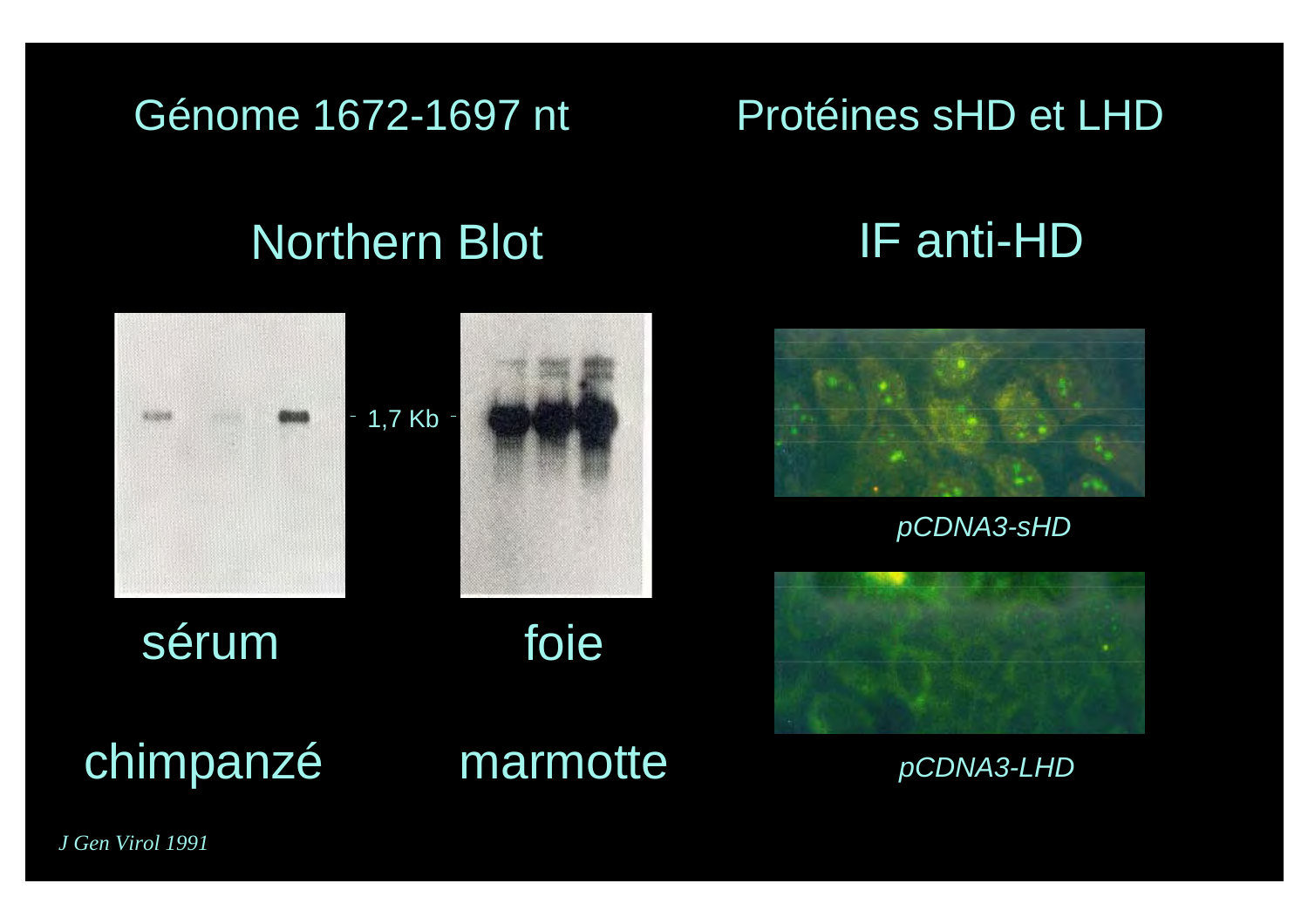## Génome 1672-1697 nt

## Protéines sHD et LHD

## Northern Blot

## IF anti-HD

plasmides codant la

o

) et

p24

(



par des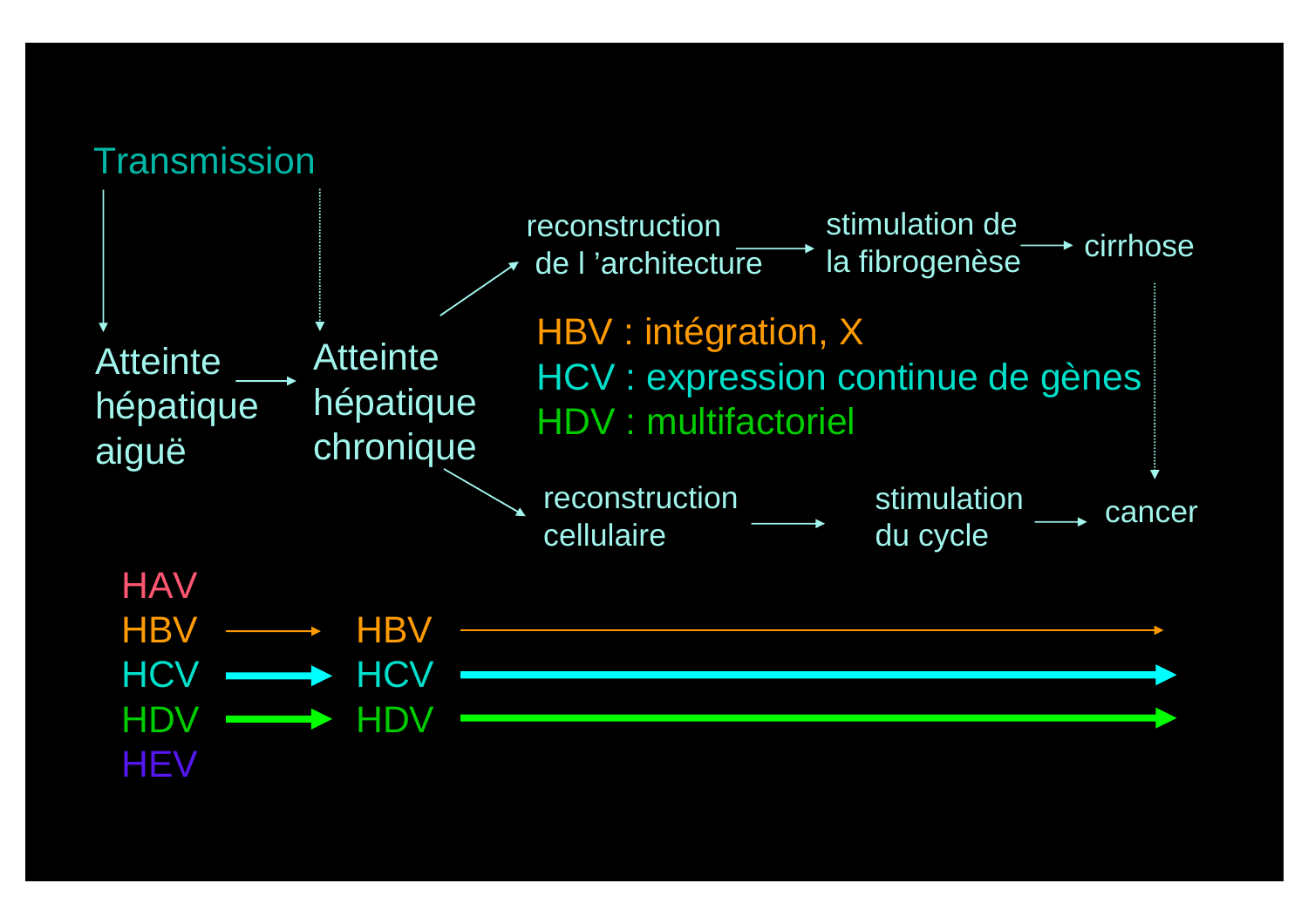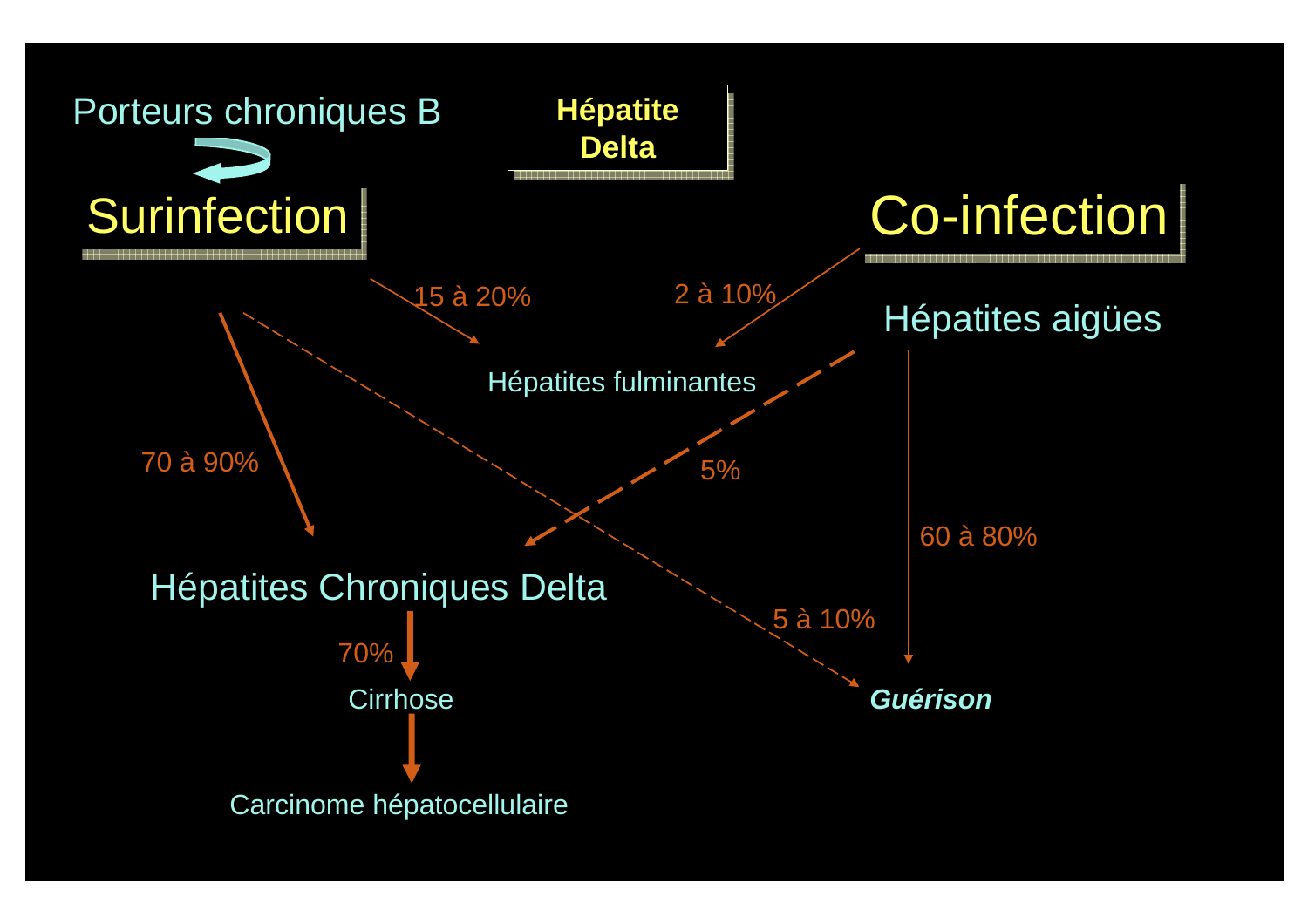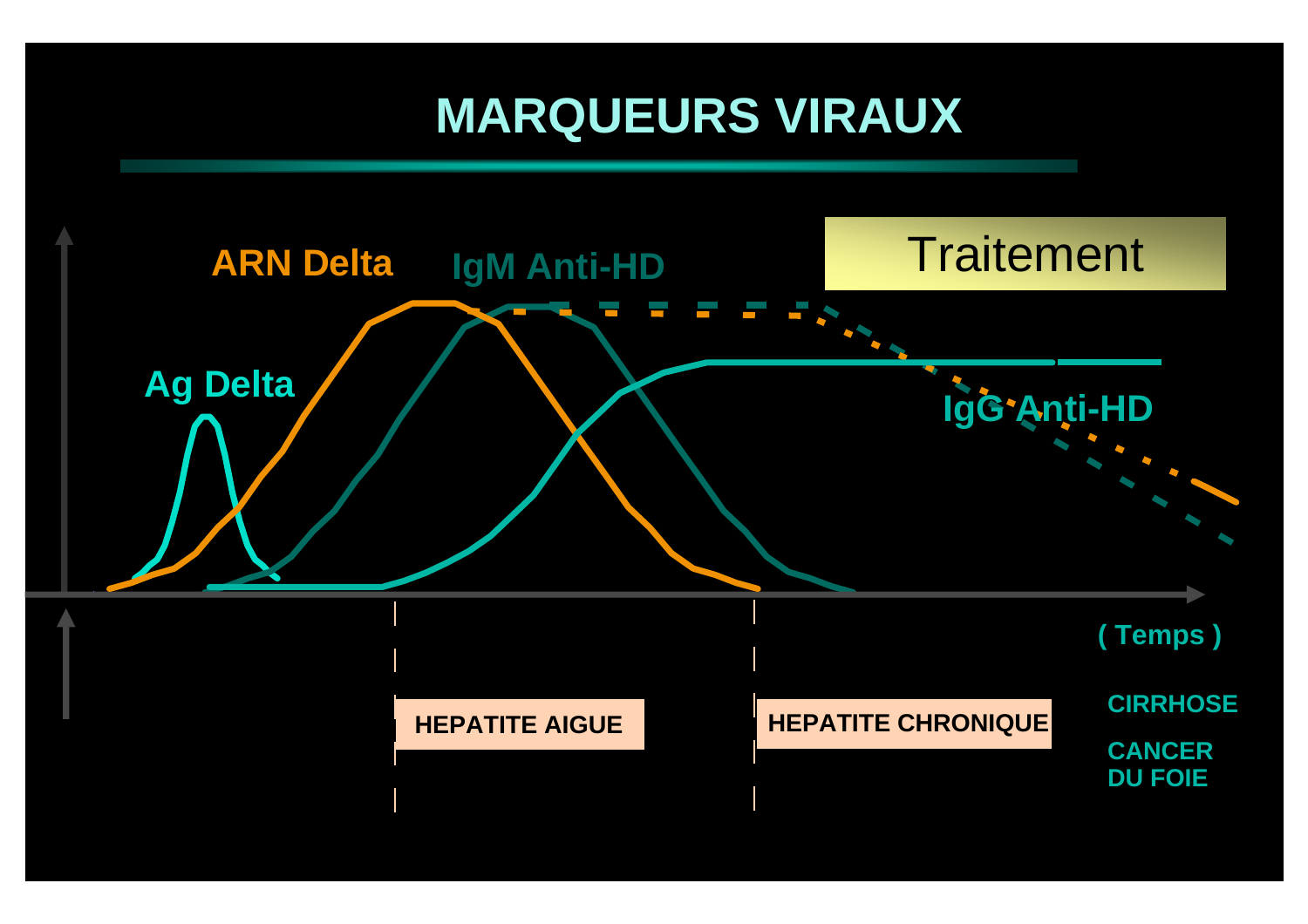## **MARQUEURS VIRAUX**

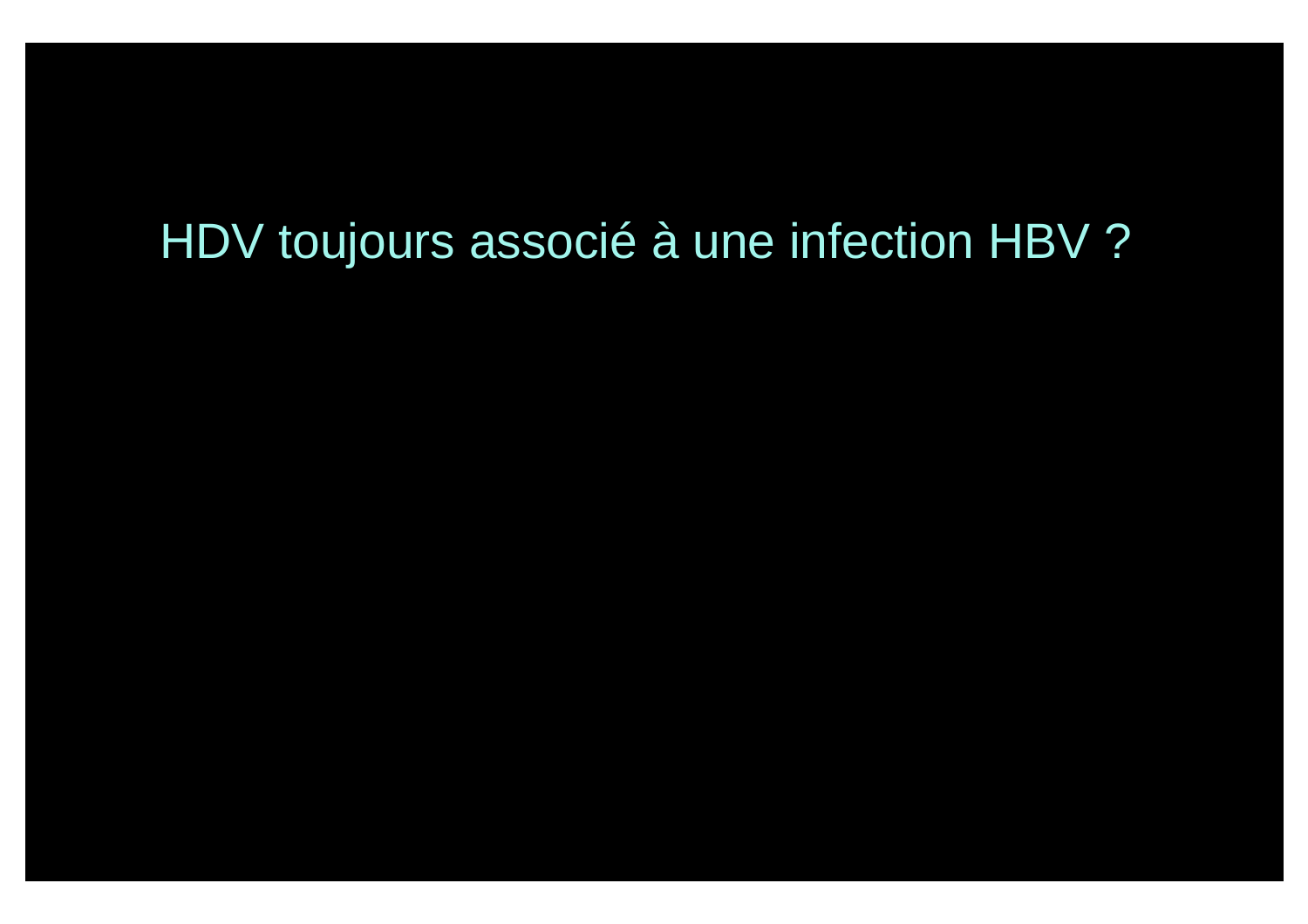## HDV toujours associé à une infection HBV ?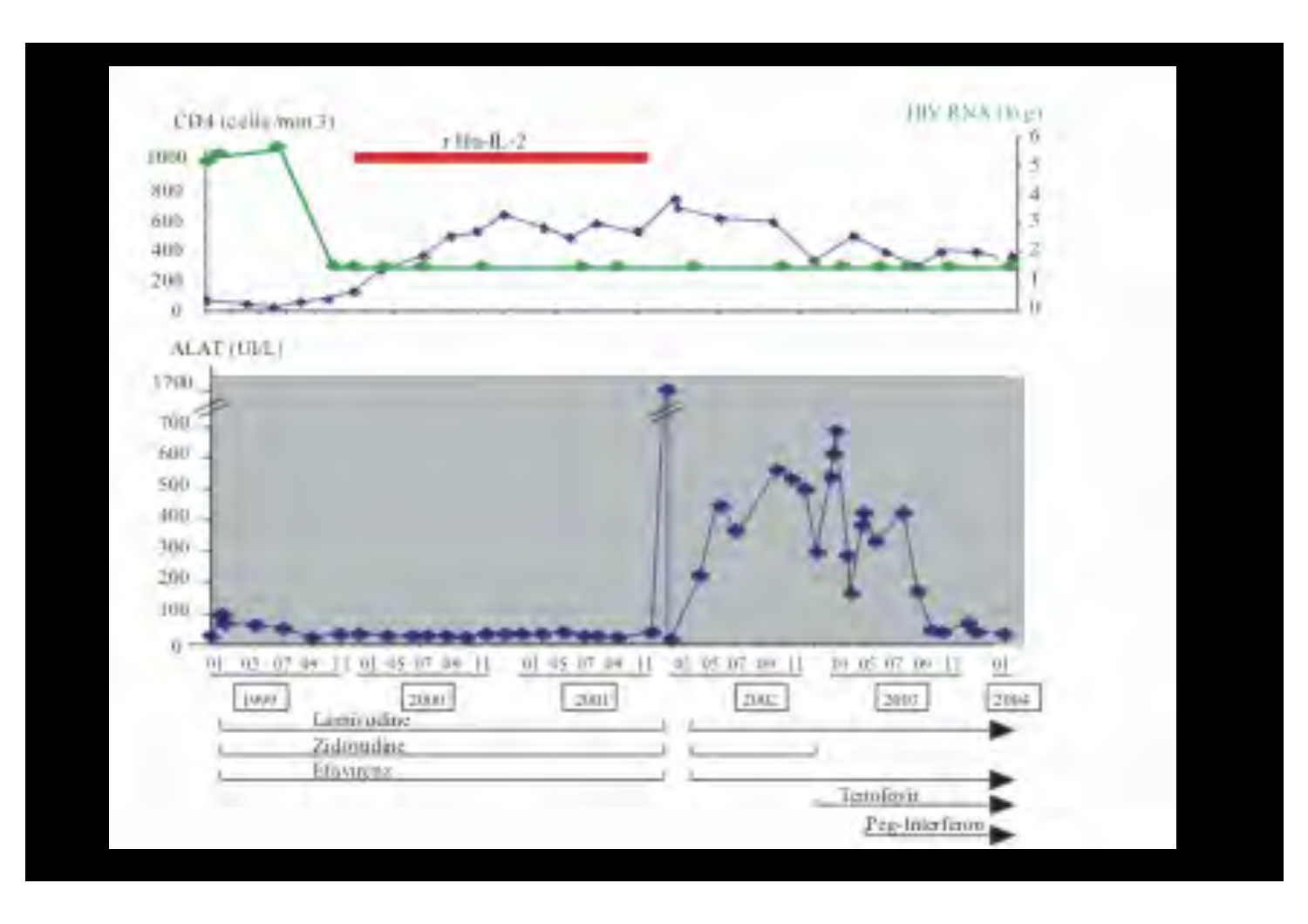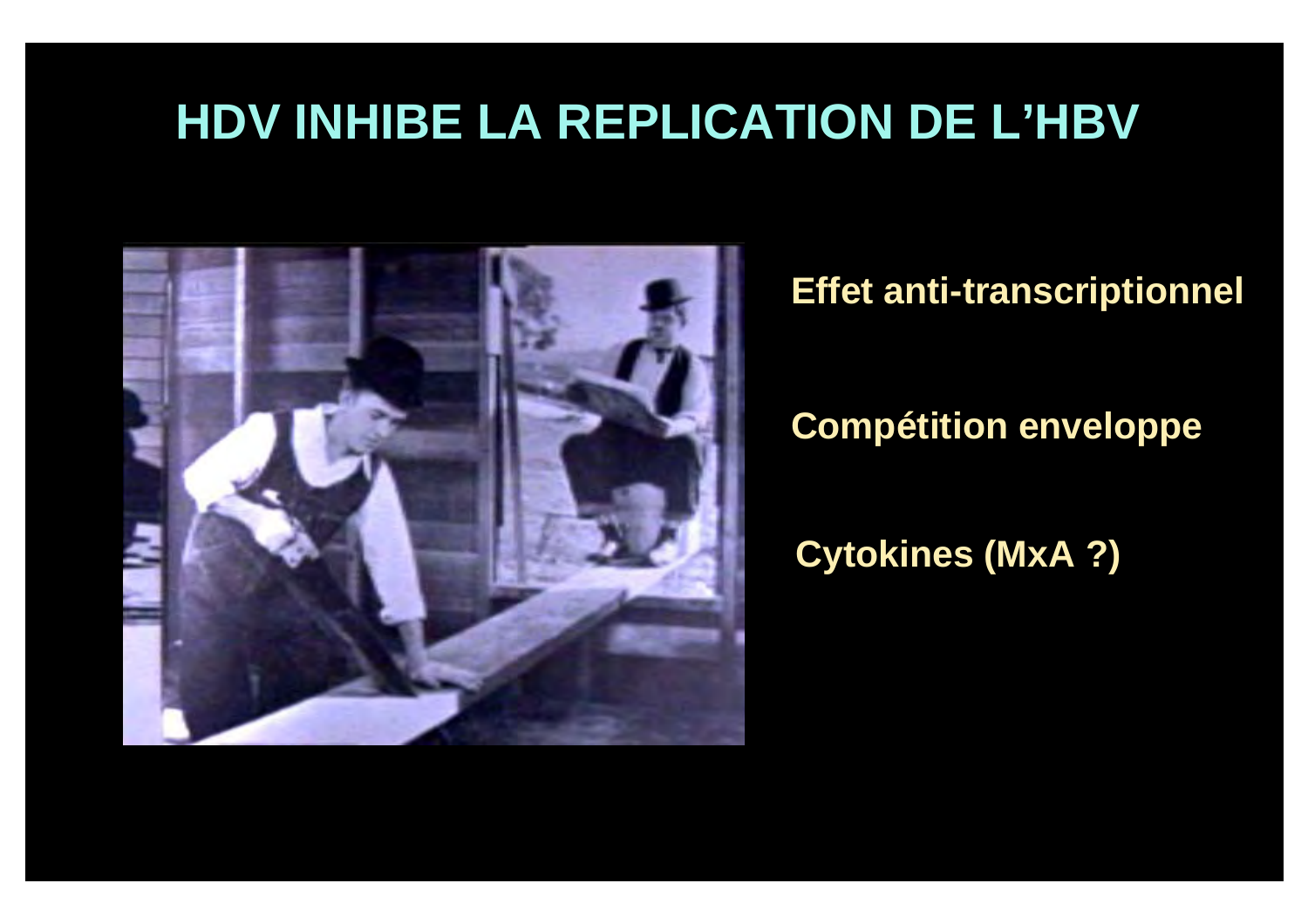## **HDV INHIBE LA REPLICATION DE L'HBV**



#### **Effet anti-transcriptionnel**

### **Compétition enveloppe**

**Cytokines (MxA ?)**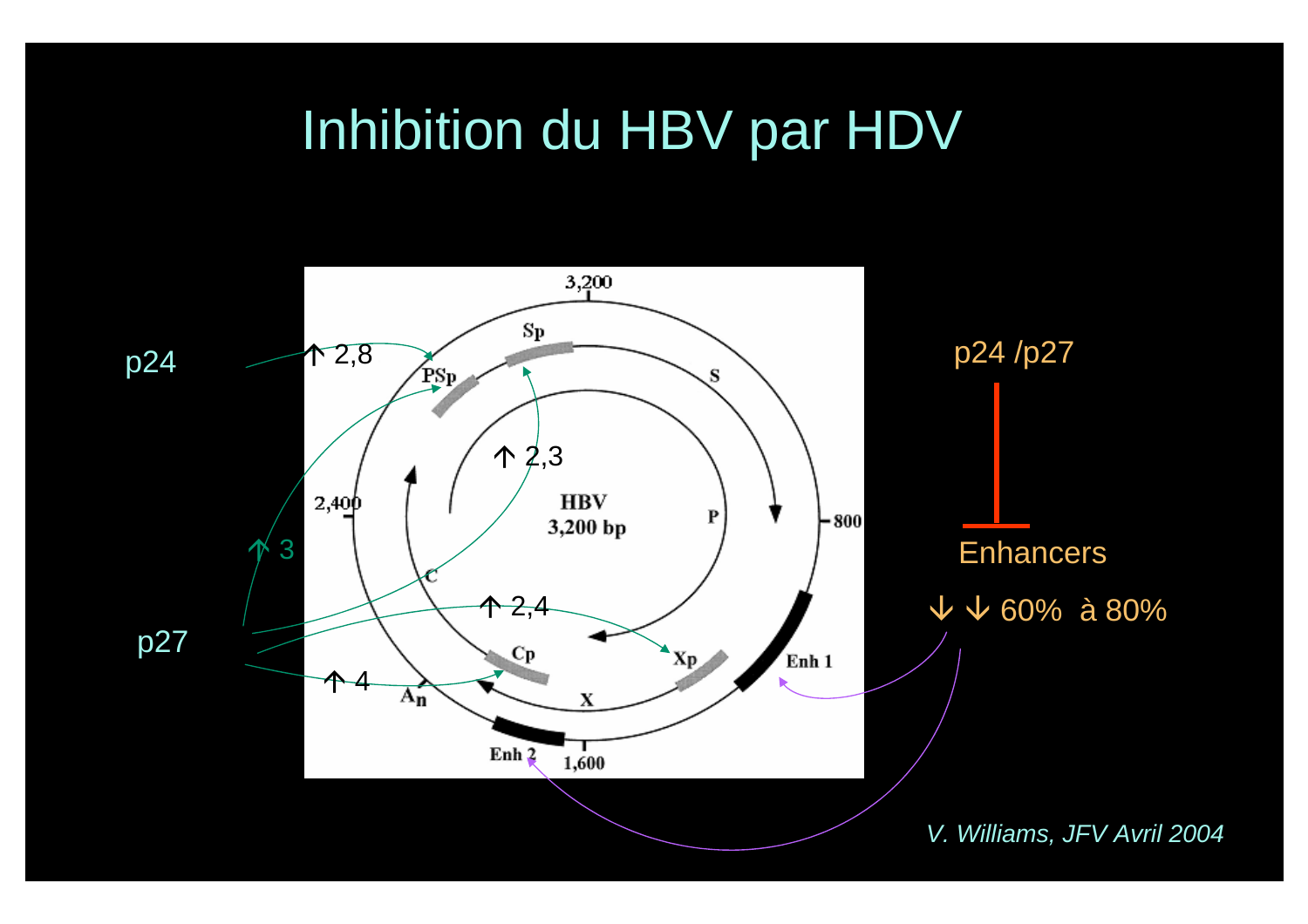## Inhibition du HBV par HDV

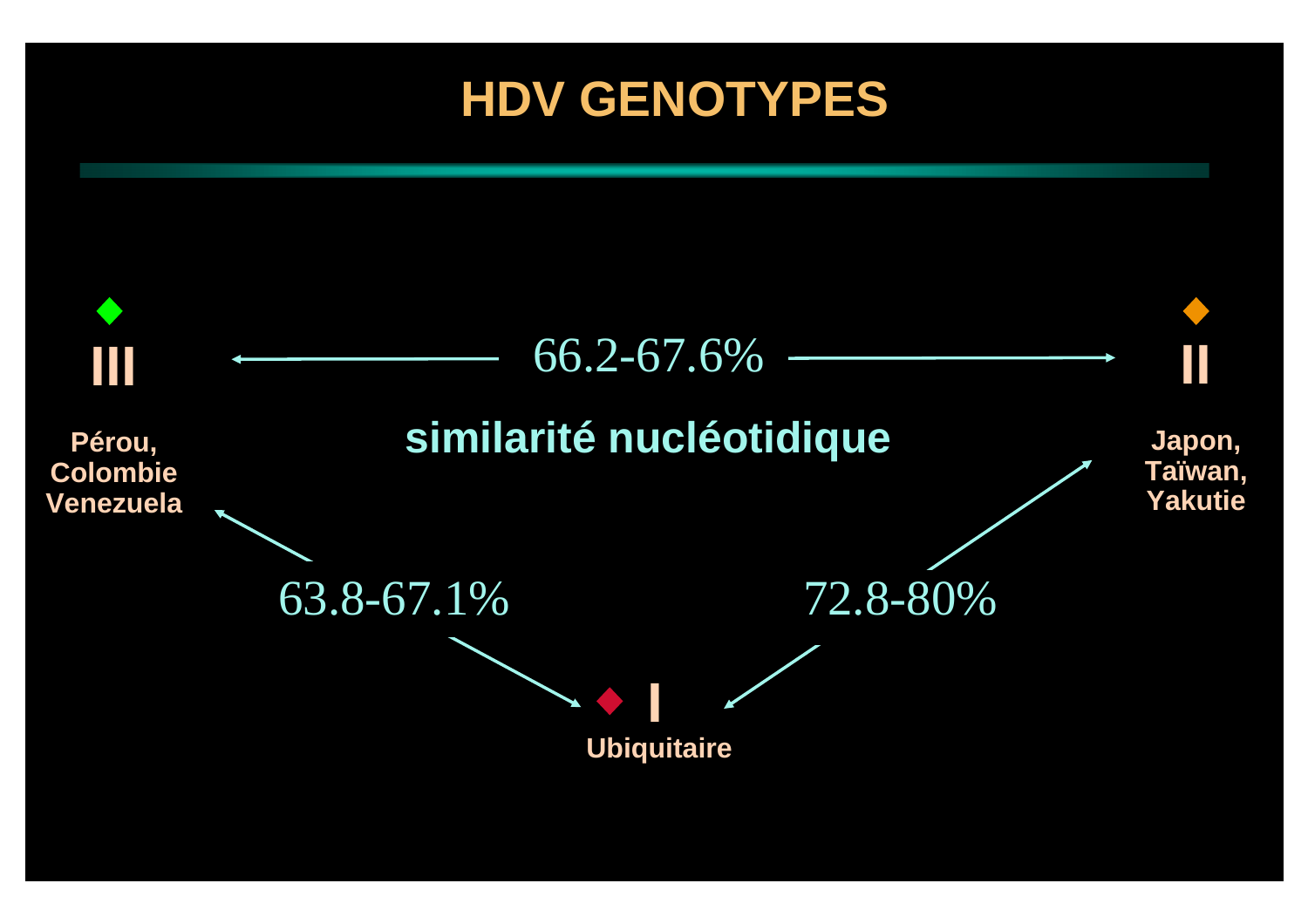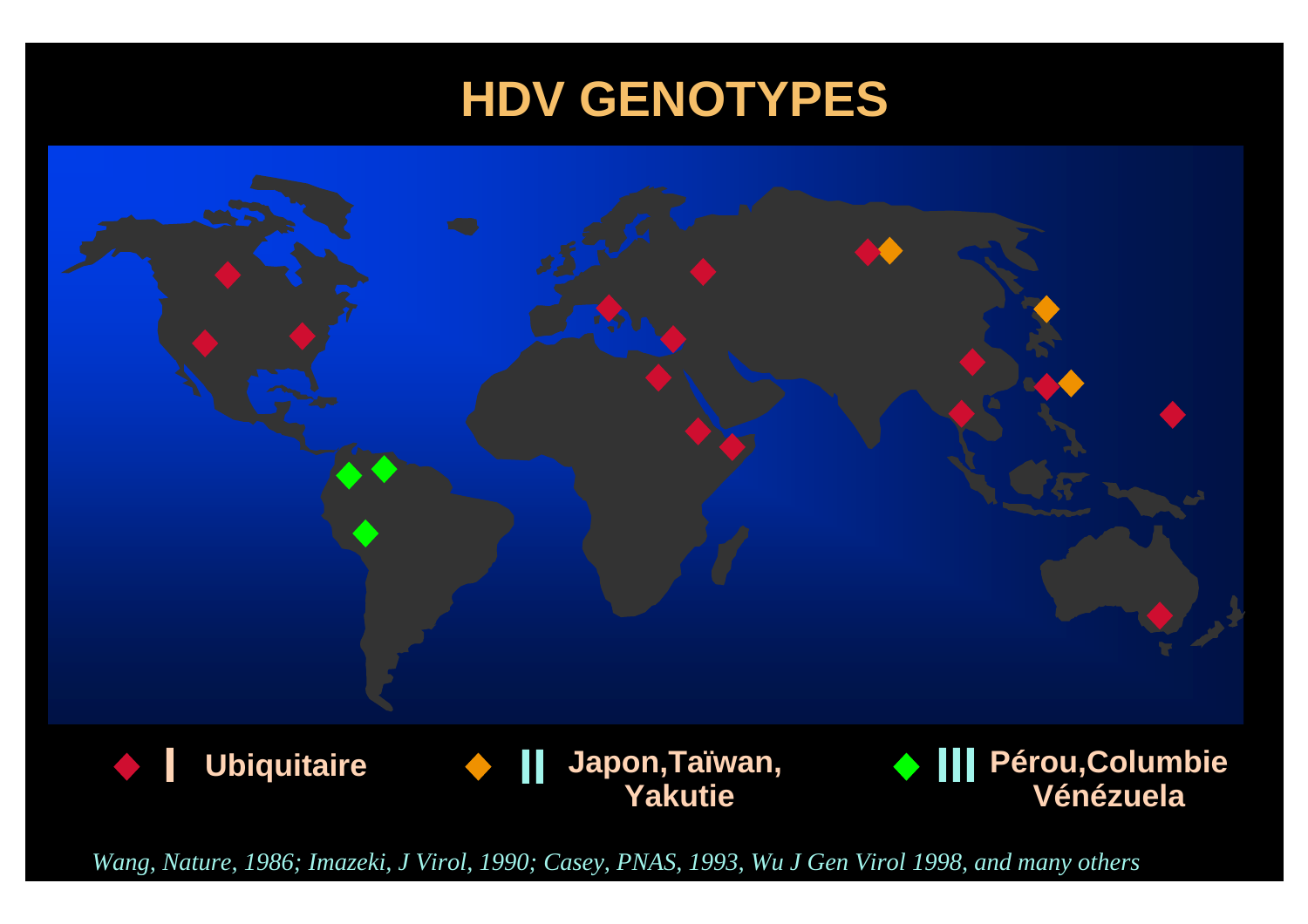## **HDV GENOTYPES**



*Wang, Nature, 1986; Imazeki, J Virol, 1990; Casey, PNAS, 1993, Wu J Gen Virol 1998, and many others*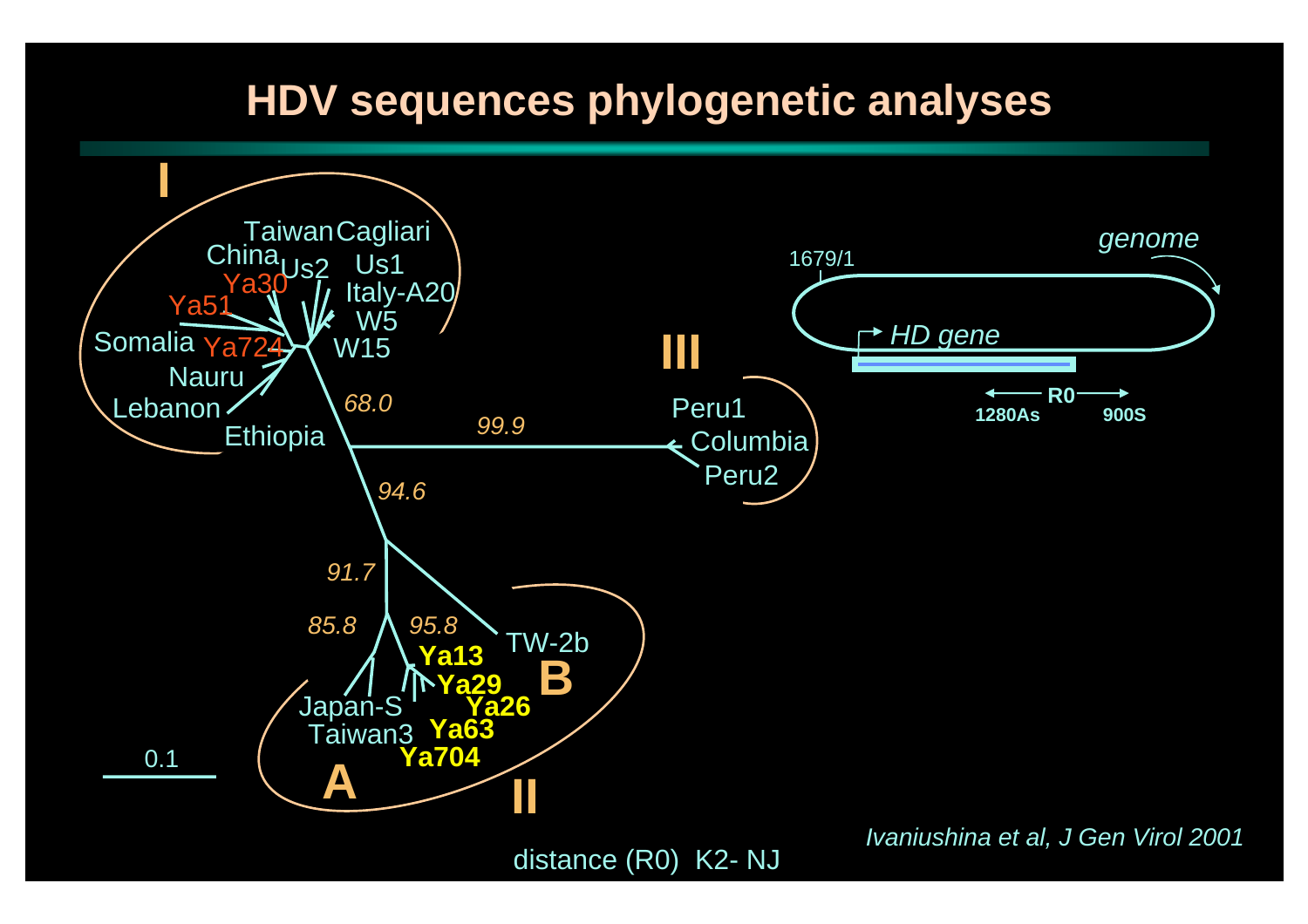## **HDV sequences phylogenetic analyses**

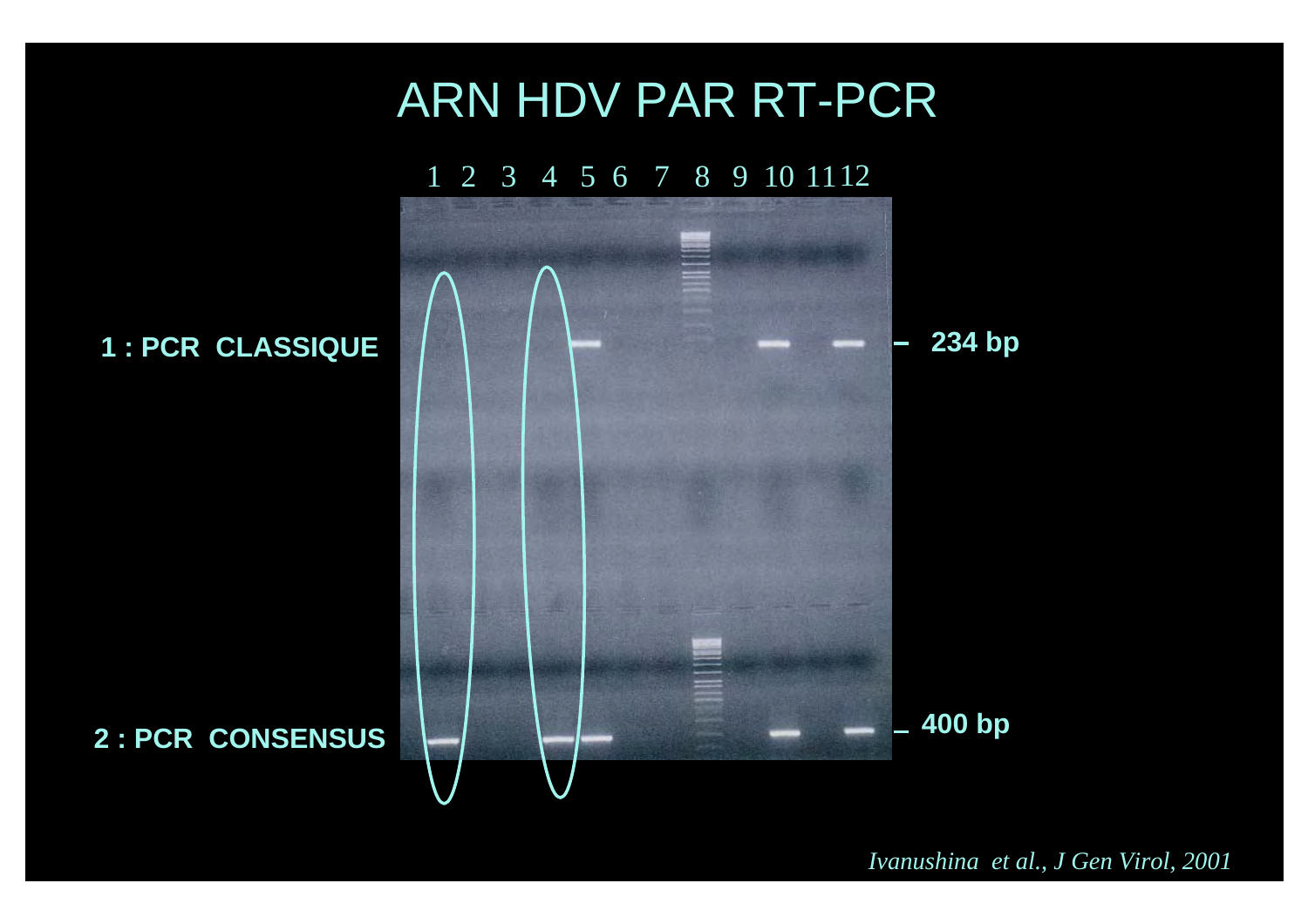## ARN HDV PAR RT-PCR

#### 1 2 3 4 5 6 7 8 9 10 1112



**1 : PCR CLASSIQUE**

*Ivanushina et al., J Gen Virol, 2001*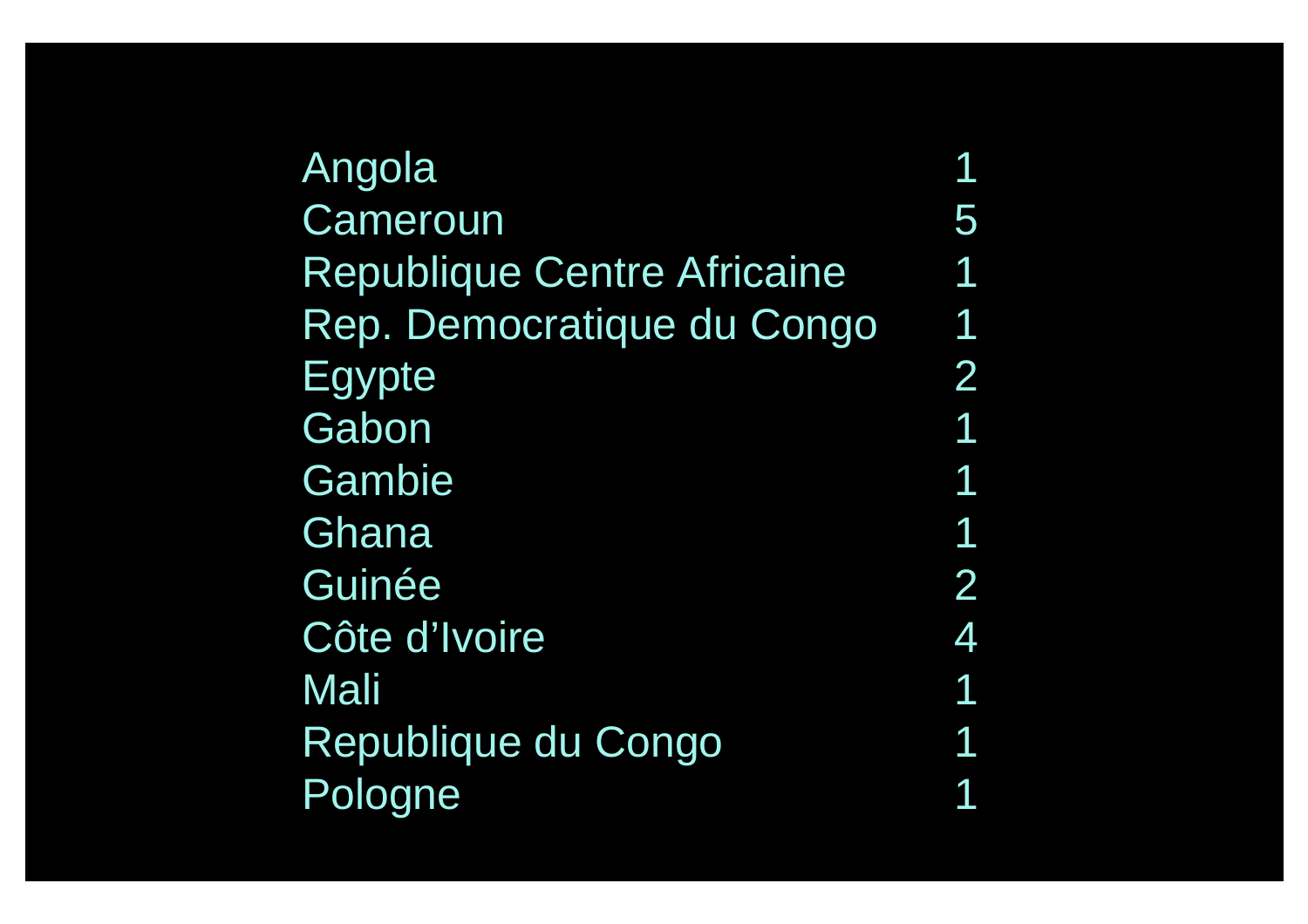Angola 1 Cameroun 5 Republique Centre Africaine 1 Rep. Democratique du Congo 1 Egypte 2 **Gabon Gambie Ghana** Guinée 2 Côte d'Ivoire 4 **Mali** Republique du Congo Pologne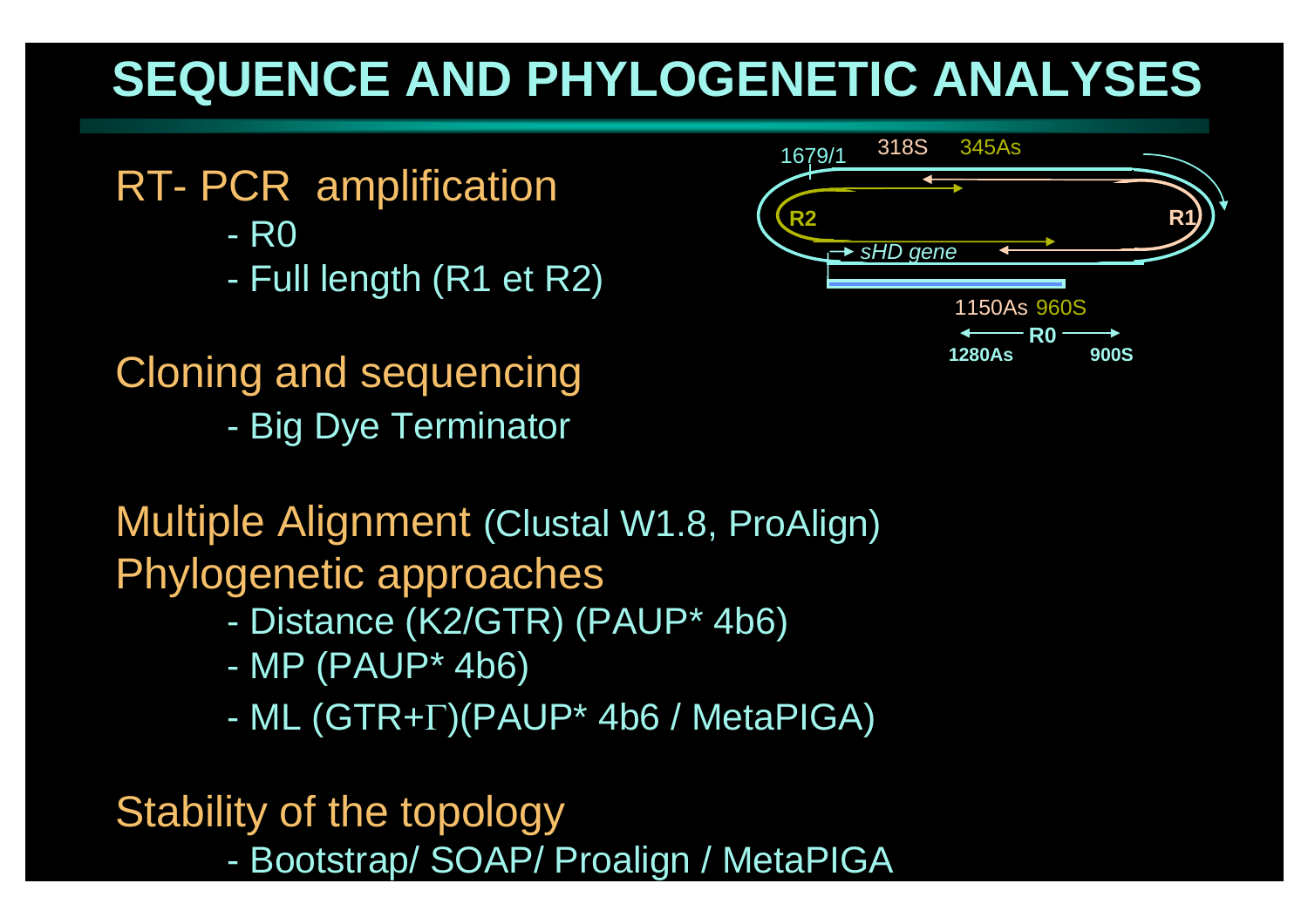## **SEQUENCE AND PHYLOGENETIC ANALYSES**

## RT- PCR amplification

- R0
- -Full length (R1 et R2)

Cloning and sequencing -Big Dye Terminator

Multiple Alignment (Clustal W1.8, ProAlign) Phylogenetic approaches

- -Distance (K2/GTR) (PAUP\* 4b6)
- -MP (PAUP\* 4b6)
- -ML (GTR+Γ)(PAUP\* 4b6 / MetaPIGA)

Stability of the topology

-Bootstrap/ SOAP/ Proalign / MetaPIGA

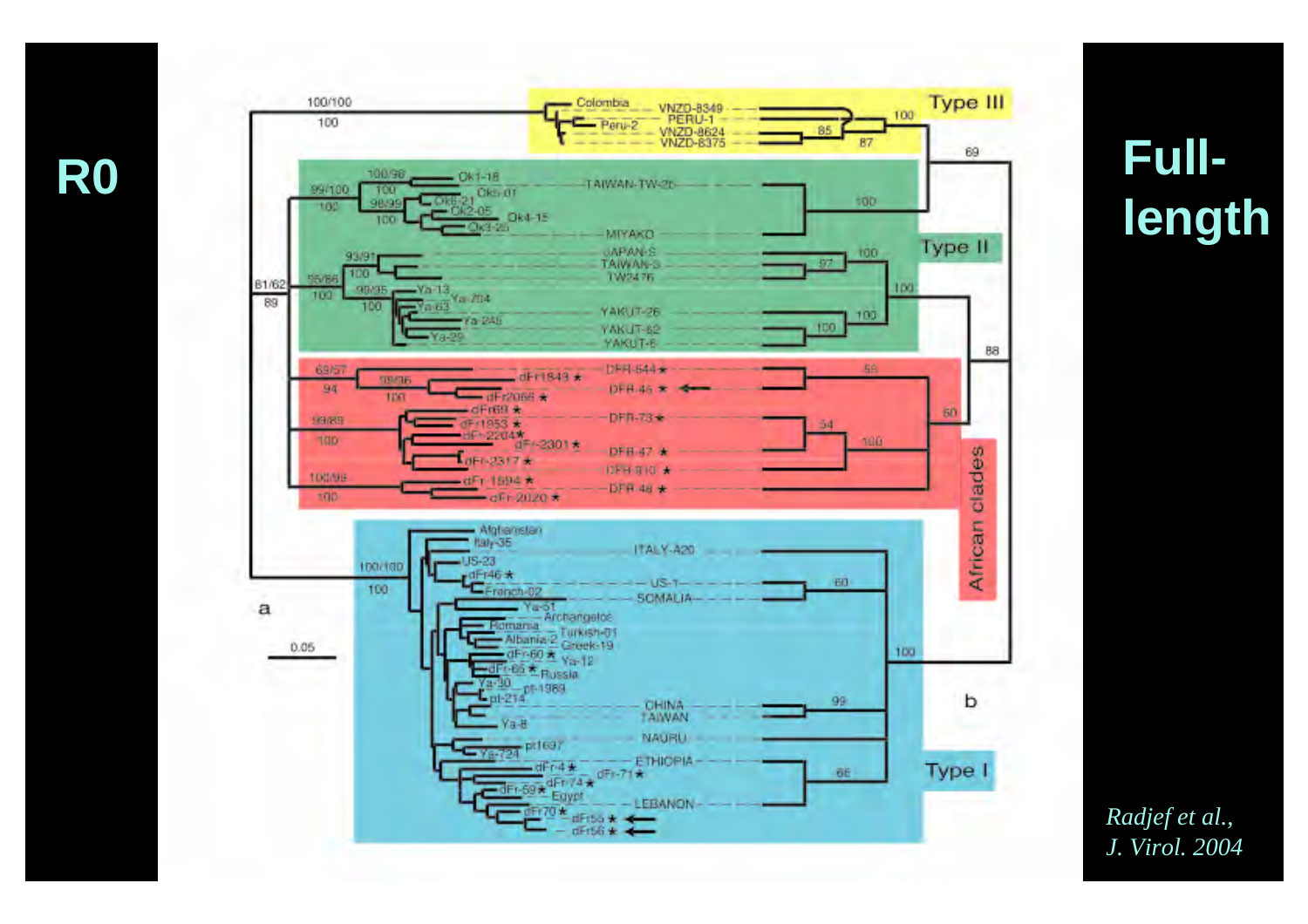



# **length**

*Radjef et al., J. Virol. 2004*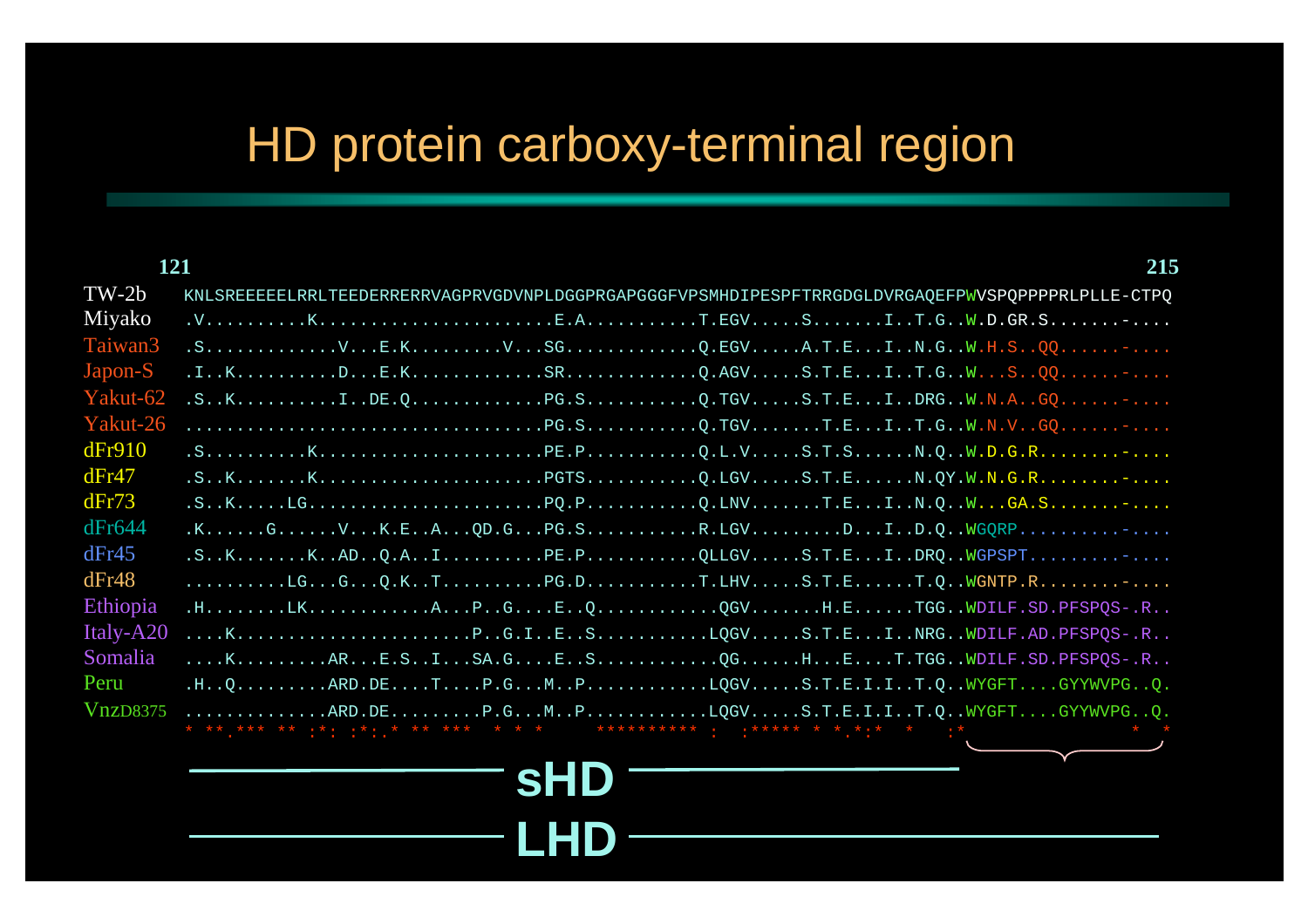## HD protein carboxy-terminal region

#### **121**

|           | 121                                                                                                                                                                                                                                                                                                                                                                                                                                                               |  |
|-----------|-------------------------------------------------------------------------------------------------------------------------------------------------------------------------------------------------------------------------------------------------------------------------------------------------------------------------------------------------------------------------------------------------------------------------------------------------------------------|--|
| $TW-2b$   | KNLSREEEEELRRLTEEDERRERRVAGPRVGDVNPLDGGPRGAPGGGFVPSMHDIPESPFTRRGDGLDVRGAQEFPWVSPQPPPPRLPLLE-CTPQ                                                                                                                                                                                                                                                                                                                                                                  |  |
| Miyako    |                                                                                                                                                                                                                                                                                                                                                                                                                                                                   |  |
| Taiwan3   | $.S.\ldots\ldots\ldots\ldots\vee\ldots E.K.\ldots\ldots\ldots\vee\ldots SG.\ldots\ldots\ldots\ldots\mathbb{Q}.$ EGV $.\ldots\ldots A.\texttt{T.E}\ldots\texttt{I}\ldots\texttt{N.G}\ldots\texttt{N.H}\ldots\mathbb{Q}\mathbb{Q}\ldots\ldots\ldots\ldots\ldots$                                                                                                                                                                                                    |  |
| Japon-S   | .IKDE.KSRQ.AGVS.T.EIT.GWSQQ-                                                                                                                                                                                                                                                                                                                                                                                                                                      |  |
| Yakut-62  |                                                                                                                                                                                                                                                                                                                                                                                                                                                                   |  |
| Yakut-26  |                                                                                                                                                                                                                                                                                                                                                                                                                                                                   |  |
| dFr910    |                                                                                                                                                                                                                                                                                                                                                                                                                                                                   |  |
| dFr47     | $.SKKPGTSQ.LGVS.T.EN.QY.W.N.G.R$                                                                                                                                                                                                                                                                                                                                                                                                                                  |  |
| $dFr$ 73  | $.S. K. \ldots. LG. \ldots \ldots \ldots \ldots \ldots \ldots \ldots \ldots \text{PQ.P.} \ldots \ldots \ldots Q. LNV. \ldots \text{T.E.} \ldots \text{I.} N. Q. \ldots W. \ldots \text{GA.S.} \ldots \ldots \cdot \text{T.} \ldots \text{N.} Q. \ldots \text{N.} Q. \ldots \text{N.} Q. \ldots \text{N.} Q. \ldots \text{N.} Q. \ldots \text{N.} Q. \ldots \text{N.} Q. \ldots \text{N.} Q. \ldots \text{N.} Q. \ldots \text{N.} Q. \ldots \$                     |  |
| dFr644    | .KGVK.EAQD.GPG.SR.LGVDID.QWGQRP--                                                                                                                                                                                                                                                                                                                                                                                                                                 |  |
| dFr45     | $.S. . K. K. . AD. . Q.A. . I. P E. P. QLLGV. S. T.E. I. . D RQ. . WGPSPT. -$                                                                                                                                                                                                                                                                                                                                                                                     |  |
| dFr48     | $\ldots \ldots \ldots \text{LG} \ldots \text{G} \ldots \text{Q} \ldots \text{K} \ldots \text{T} \ldots \ldots \text{G} \text{D} \ldots \text{G} \ldots \text{G} \ldots \text{T} \ldots \text{LHV} \ldots \text{S} \ldots \text{T} \ldots \text{E} \ldots \ldots \text{T} \ldots \text{Q} \ldots \text{WGNTP} \ldots \text{R} \ldots \ldots \text{S} \ldots \text{S} \text{G} \text{N} \text{F} \ldots \text{S} \ldots \text{S} \text{G} \text{N} \text{F} \text{$ |  |
| Ethiopia  | $H_1, \ldots, H_k, \ldots, H_k, \ldots, H_k, \ldots, H_k, \ldots, H_k, \ldots, H_k, \ldots, H_k, \ldots, H_k, \ldots, H_k, \ldots, H_k, \ldots, H_k, \ldots, H_k, \ldots, H_k, \ldots, H_k, \ldots, H_k, \ldots, H_k, \ldots, H_k, \ldots, H_k, \ldots, H_k, \ldots, H_k, \ldots, H_k, \ldots, H_k, \ldots, H_k, \ldots, H_k, \ldots, H_k, \ldots, H_k, \ldots, H_k, \ldots, H_k, \ldots, H_k, \ldots, H_k, \ldots, H_k$                                          |  |
| Italy-A20 | $\dots$ .KPG.IESLQGVS.T.EINRGWDILF.AD.PFSPQS-.R                                                                                                                                                                                                                                                                                                                                                                                                                   |  |
| Somalia   | $\dots$ .KARE.SISA.GESQGHET.TGGWDILF.SD.PFSPQS-.R                                                                                                                                                                                                                                                                                                                                                                                                                 |  |
| Peru      | $H. Q. \ldots \ldots$ . ARD.DETP.GMPLQGVS.T.E.I.IT.QWYGFTGYYWVPGQ.                                                                                                                                                                                                                                                                                                                                                                                                |  |
| VnzD8375  | $\ldots \ldots \ldots \ldots$ . ARD.DE $\ldots \ldots \ldots P. G \ldots M \ldots P \ldots \ldots \ldots \ldots LQGV \ldots \ldots S.T.E.I.I. I. . T. Q. . WYGFT \ldots GYYWVPG. . Q.$                                                                                                                                                                                                                                                                            |  |

**sHD**

**LHD**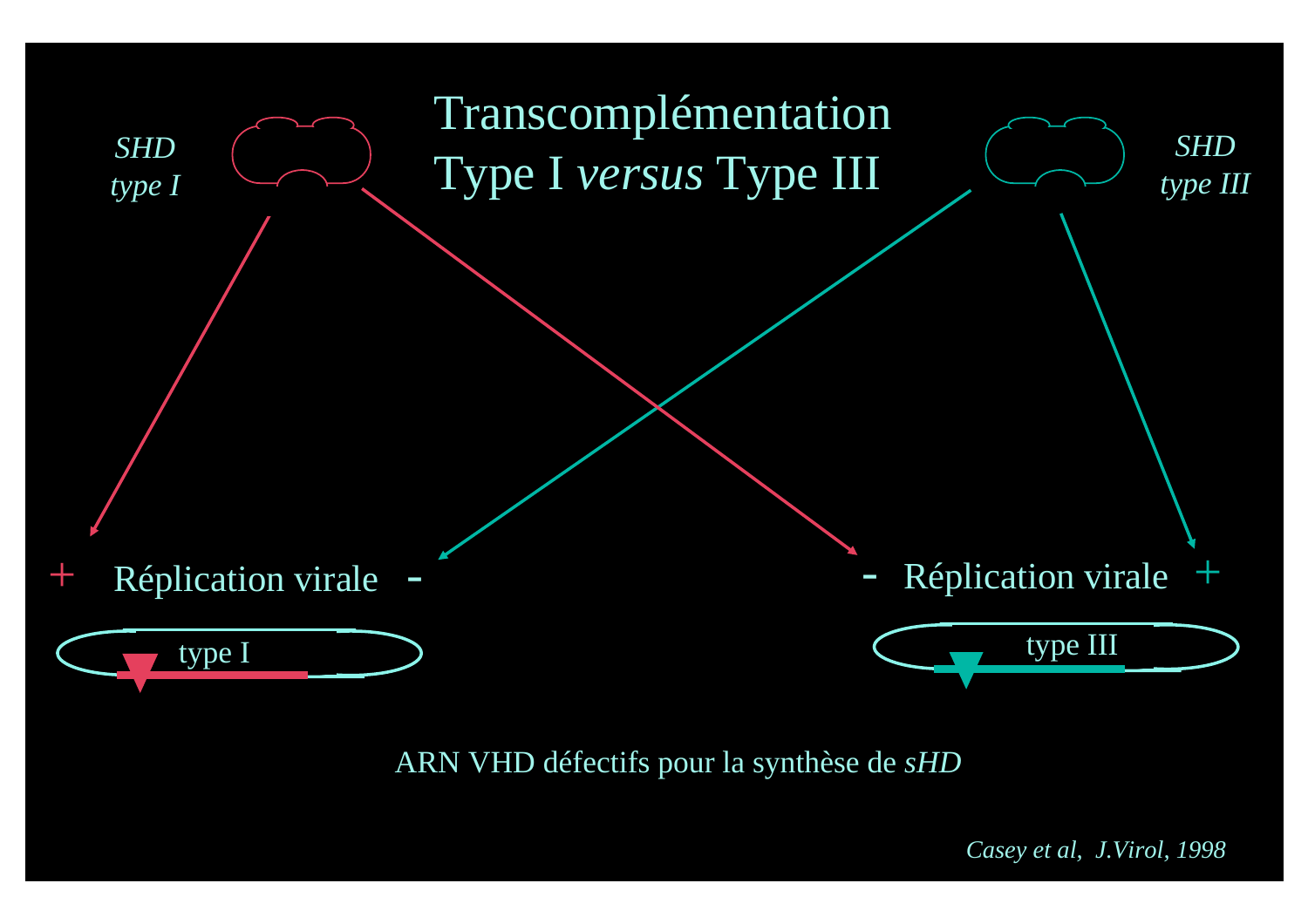

*Casey et al, J.Virol, 1998*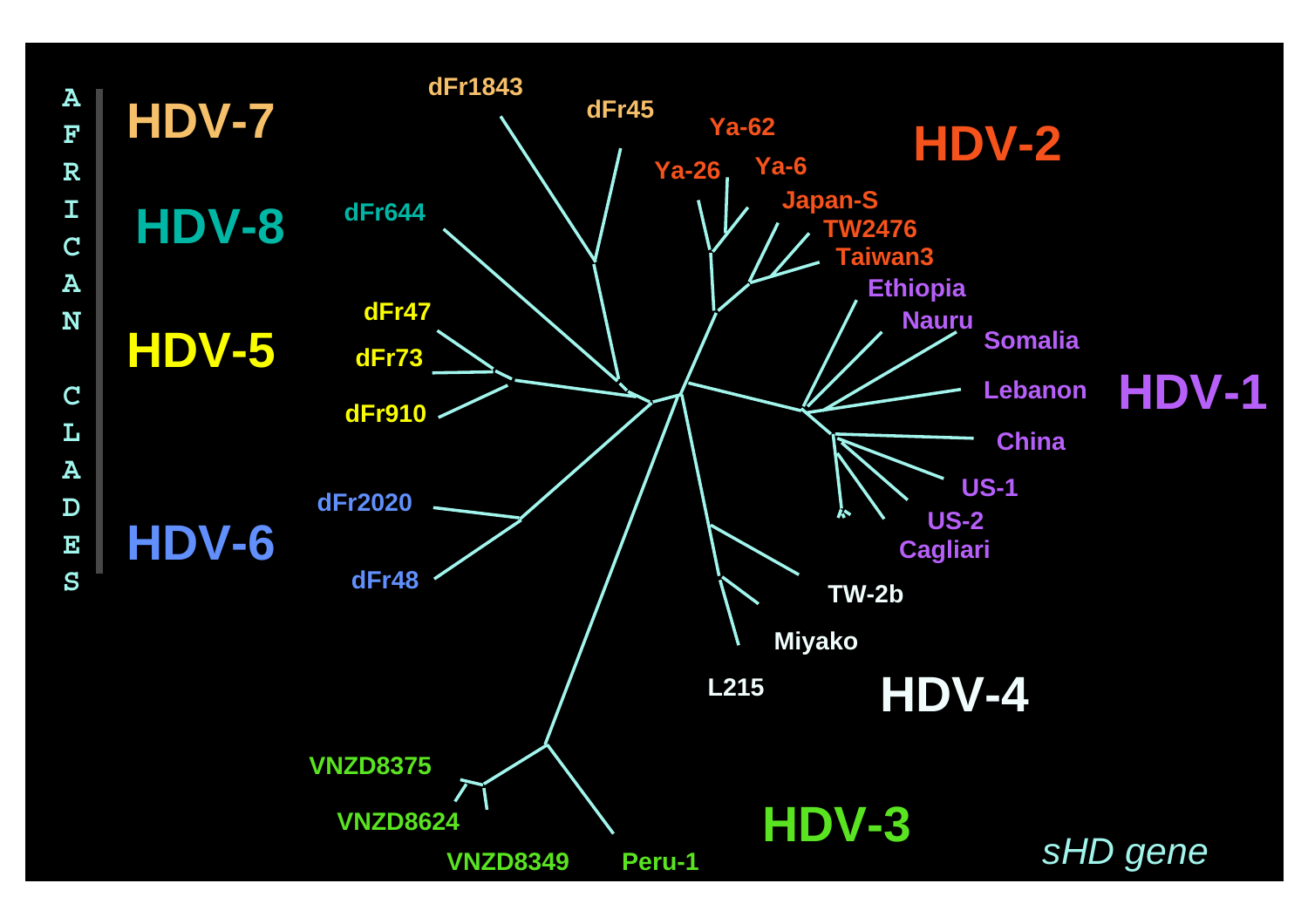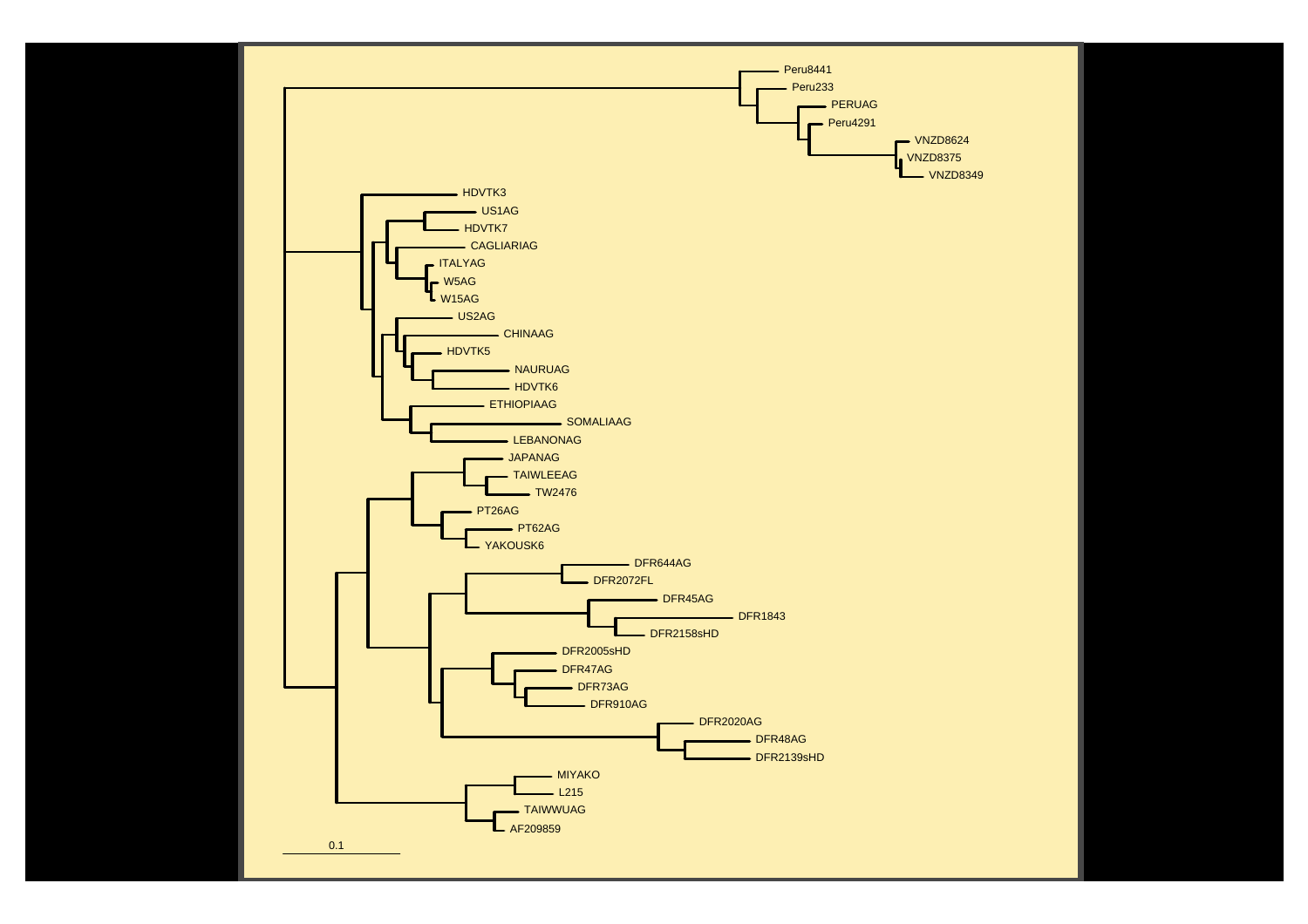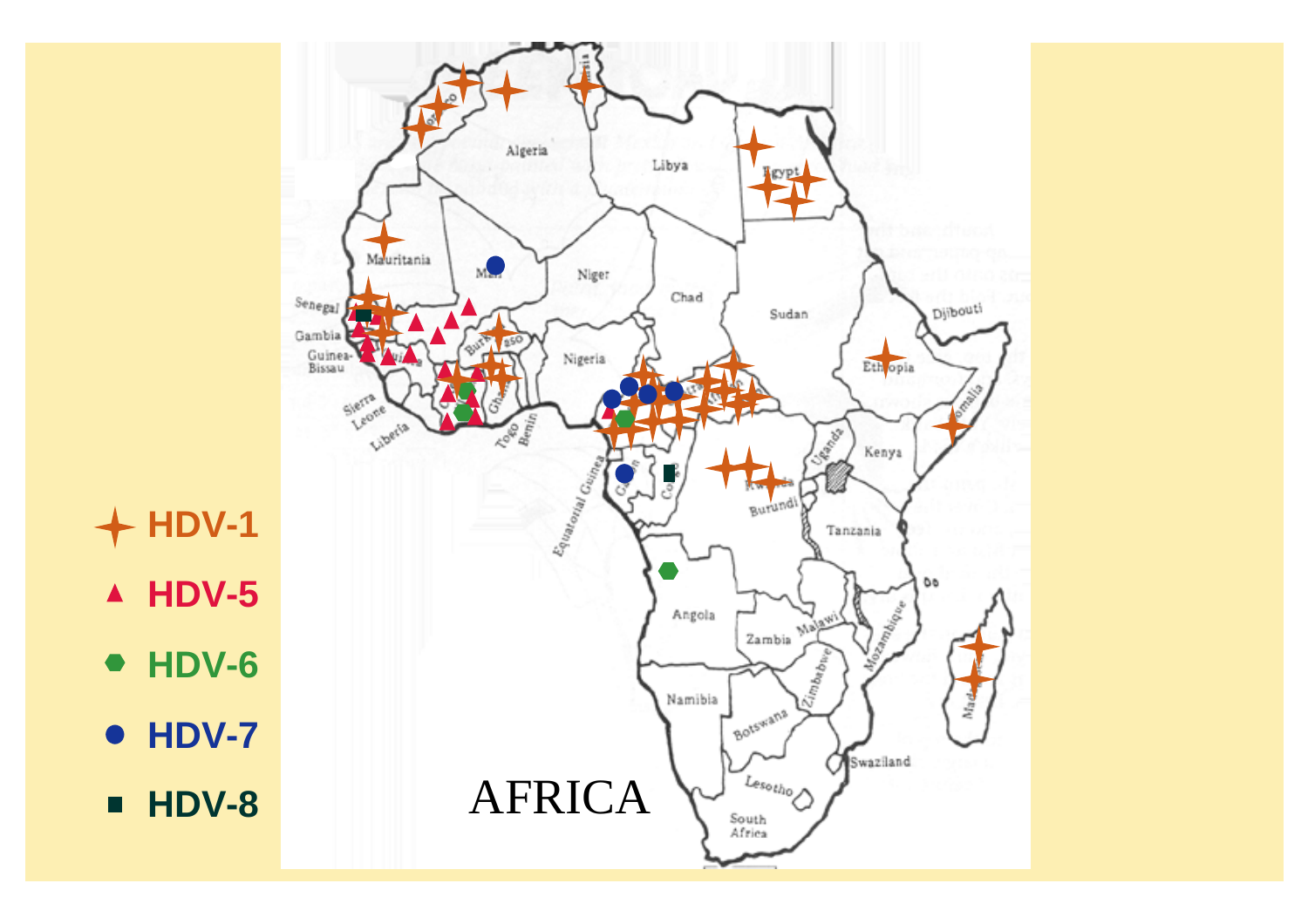

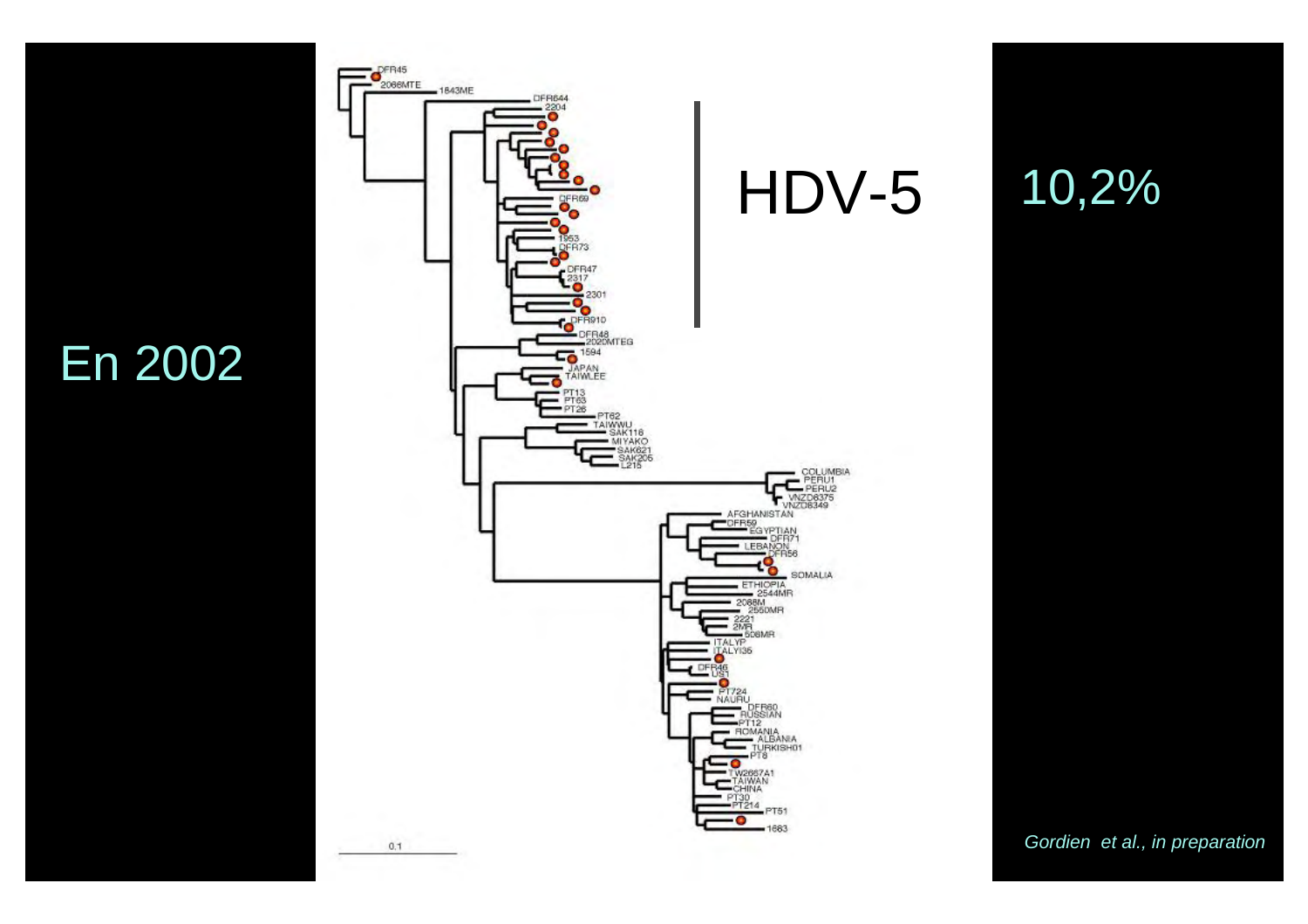



*Gordien et al., in preparation*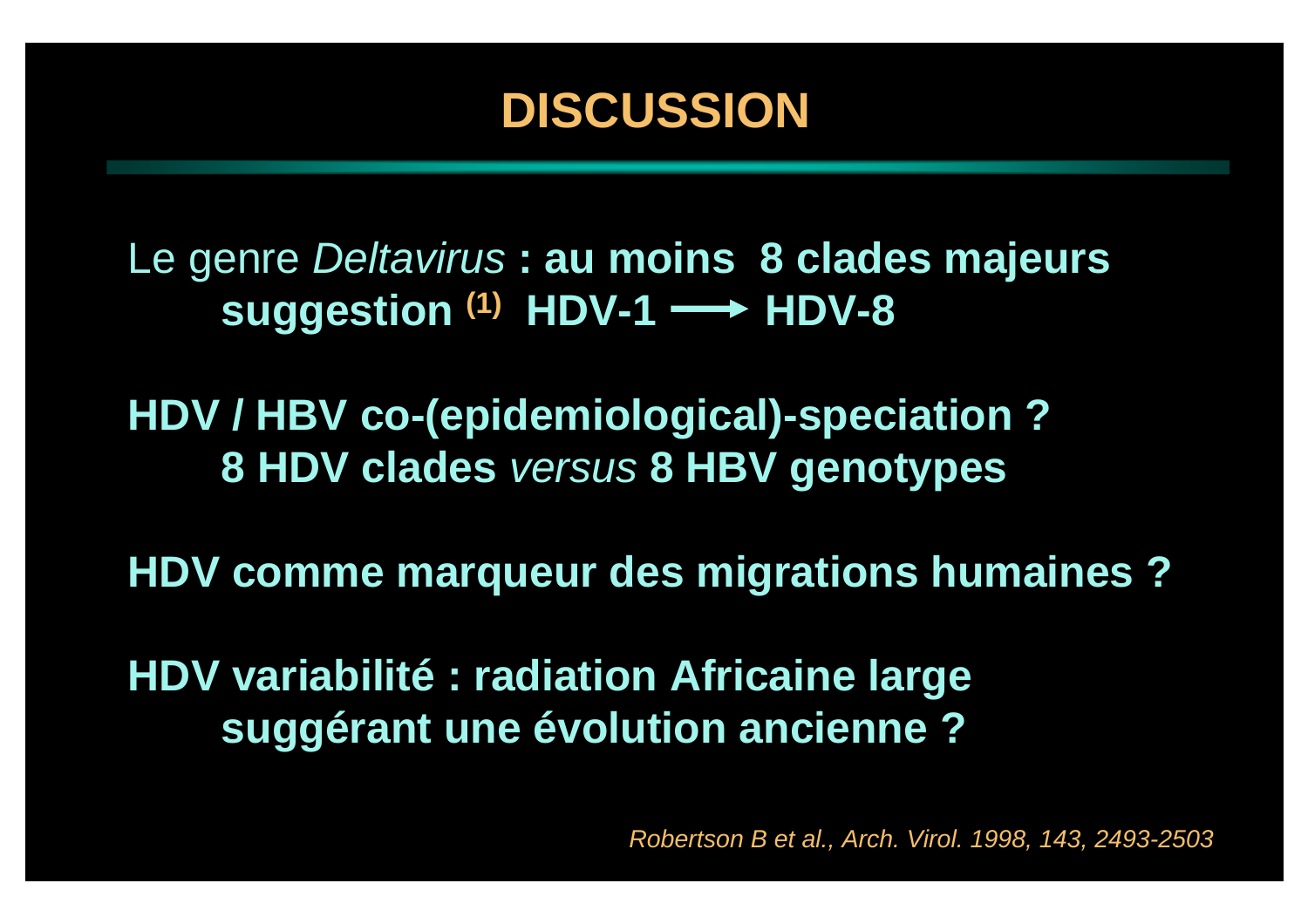

Le genre *Deltavirus* **: au moins 8 clades majeurs suggestion (1) HDV-1 HDV-8**

**HDV / HBV co-(epidemiological)-speciation ? 8 HDV clades** *versus* **8 HBV genotypes**

**HDV comme marqueur des migrations humaines ?**

**HDV variabilité : radiation Africaine large suggérant une évolution ancienne ?**

*Robertson B et al., Arch. Virol. 1998, 143, 2493-2503*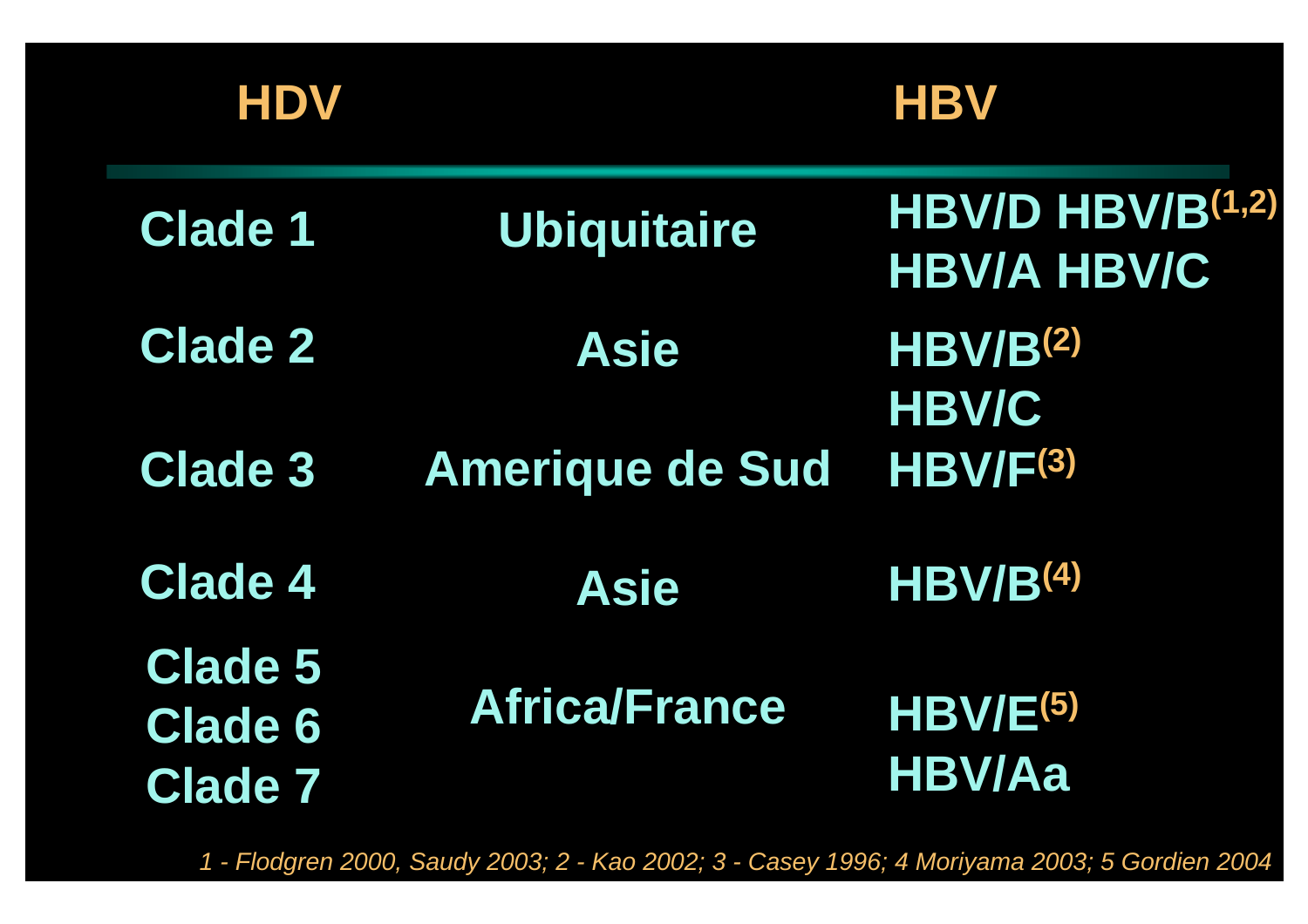| <b>HDV</b>                                         |                        | <b>HBV</b>                                    |
|----------------------------------------------------|------------------------|-----------------------------------------------|
| <b>Clade 1</b>                                     | <b>Ubiquitaire</b>     | <b>HBV/D HBV/B(1,2)</b><br><b>HBV/A HBV/C</b> |
| <b>Clade 2</b>                                     | <b>Asie</b>            | HBV/B <sup>(2)</sup><br><b>HBV/C</b>          |
| <b>Clade 3</b>                                     | <b>Amerique de Sud</b> | $HBV/F^{(3)}$                                 |
| <b>Clade 4</b>                                     | <b>Asie</b>            | HBV/B <sup>(4)</sup>                          |
| <b>Clade 5</b><br><b>Clade 6</b><br><b>Clade 7</b> | <b>Africa/France</b>   | HBV/E <sup>(5)</sup><br><b>HBV/Aa</b>         |

*1 - Flodgren 2000, Saudy 2003; 2 - Kao 2002; 3 - Casey 1996; 4 Moriyama 2003; 5 Gordien 2004*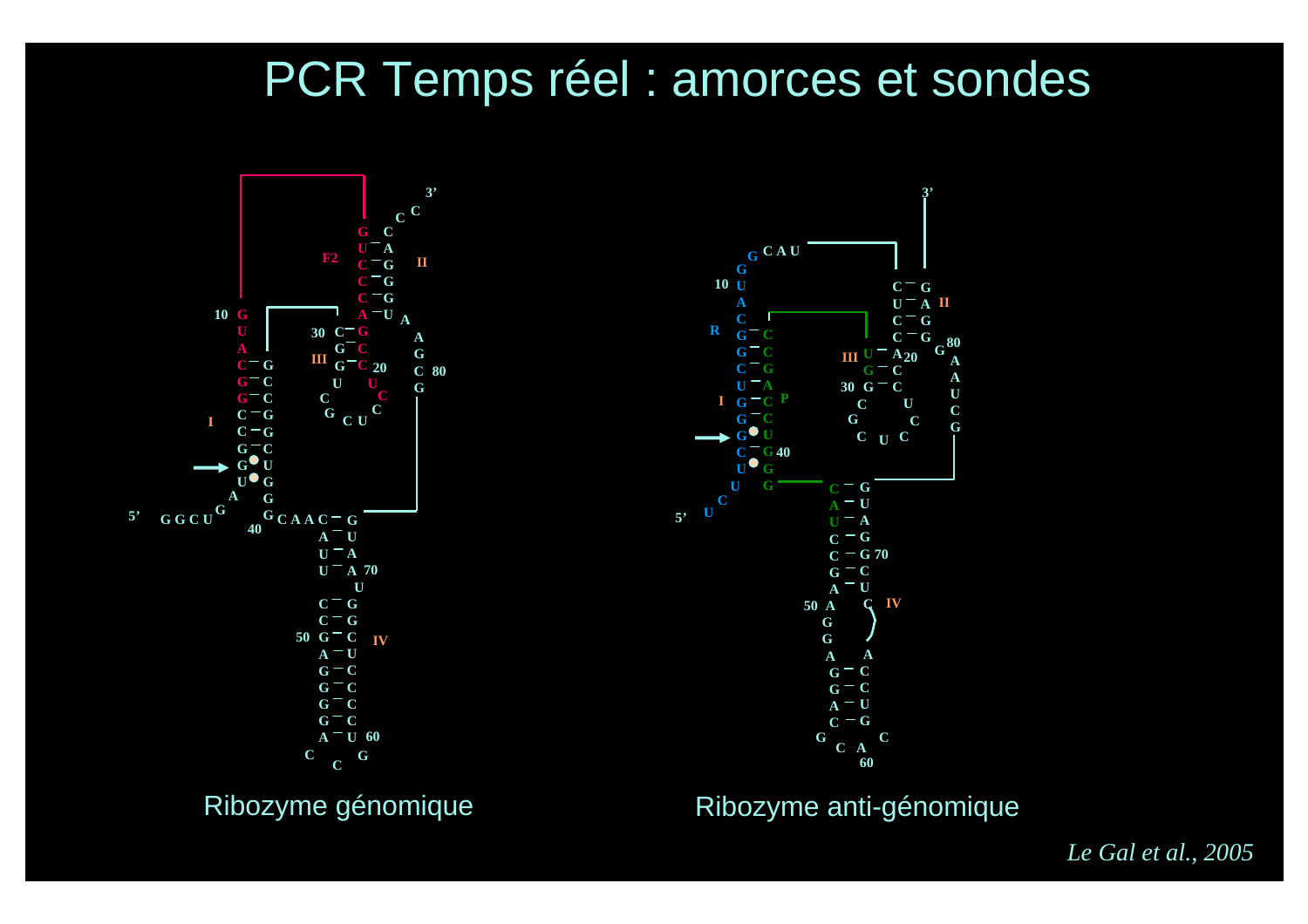## PCR Temps réel : amorces et sondes





#### Ribozyme génomique **Ribozyme anti-génomique**

*Le Gal et al., 2005*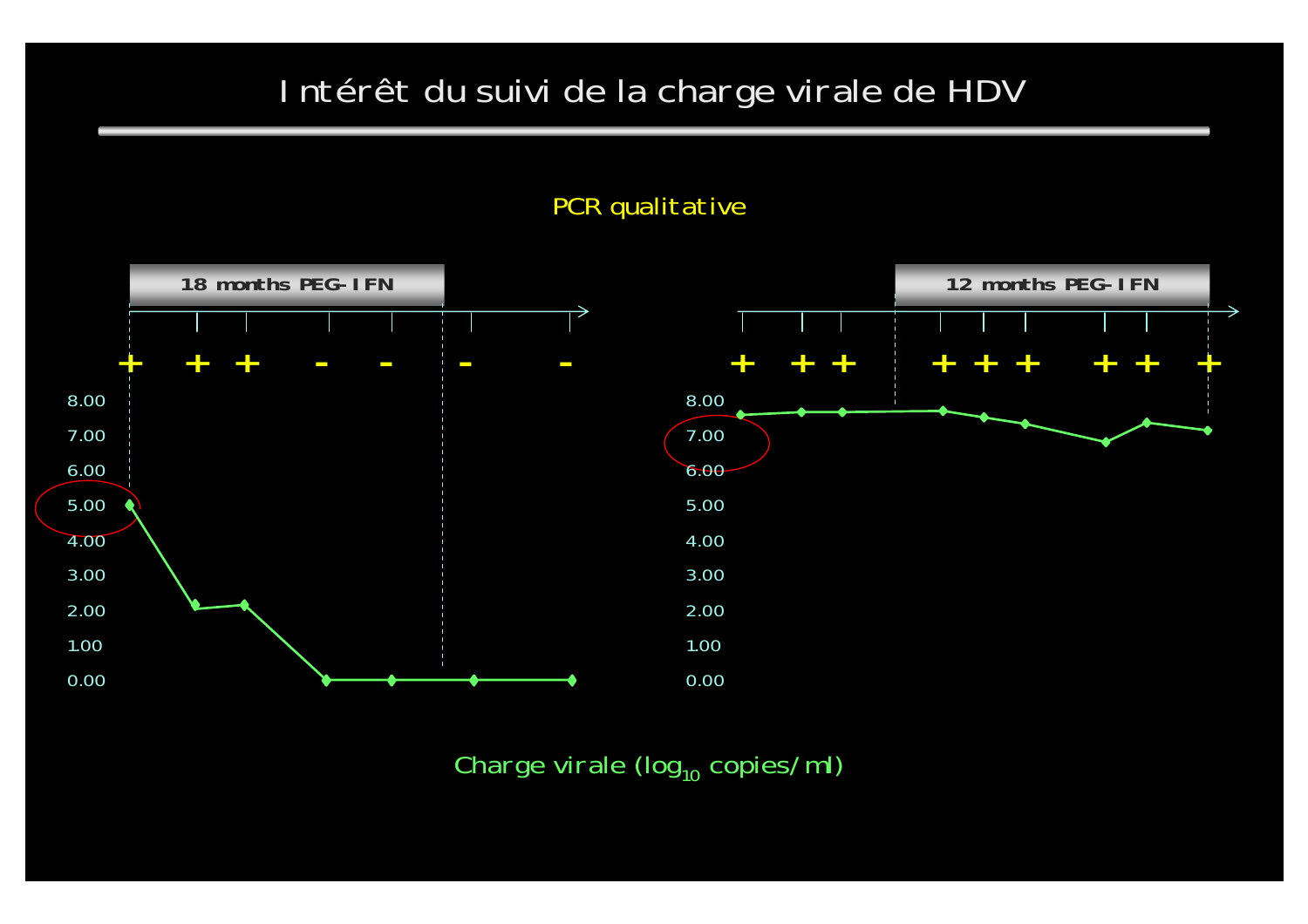## Intérêt du suivi de la charge virale de HDV



PCR qualitative

Charge virale (log<sub>10</sub> copies/ml)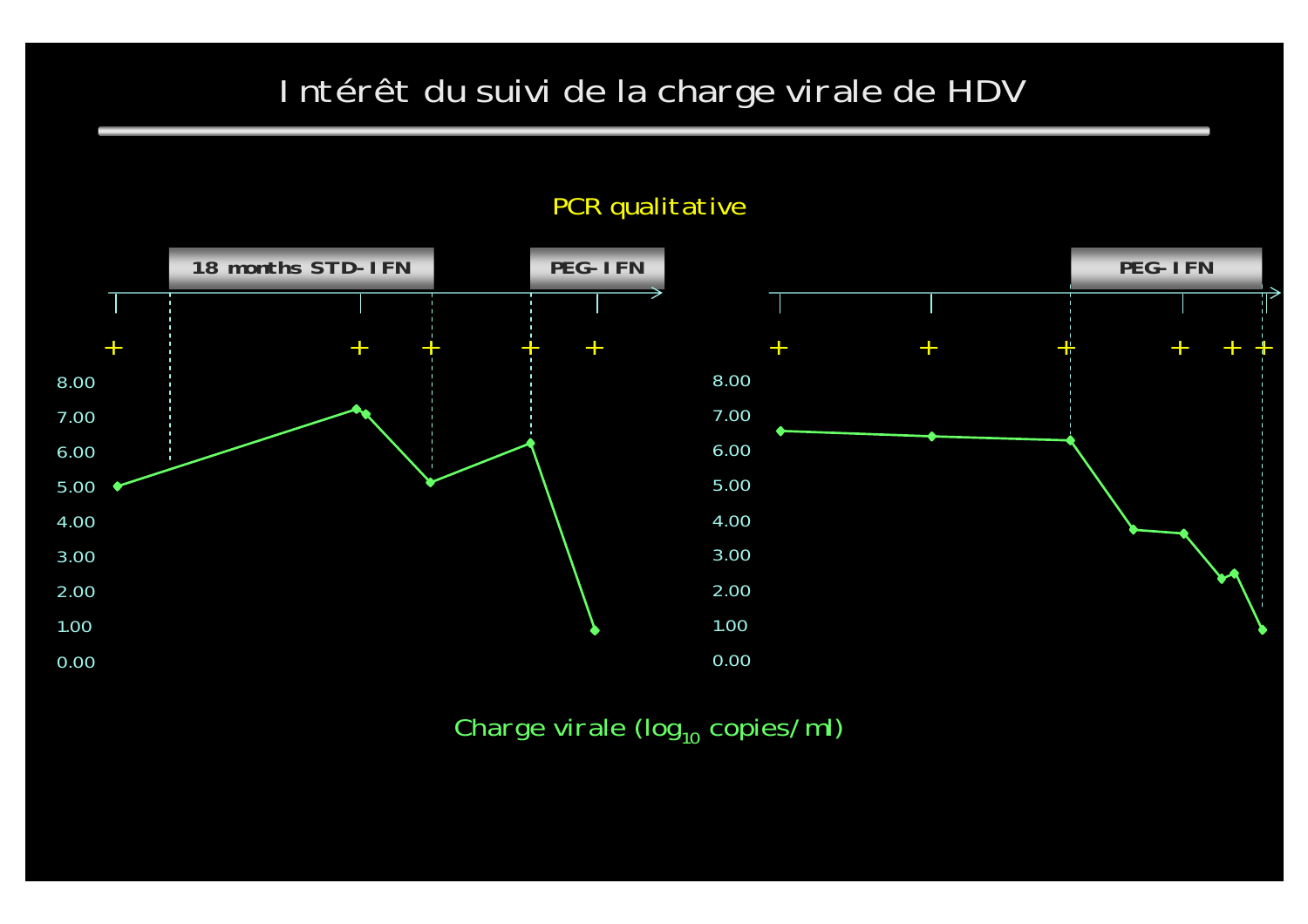### Intérêt du suivi de la charge virale de HDV

PCR qualitative



Charge virale (log<sub>10</sub> copies/ml)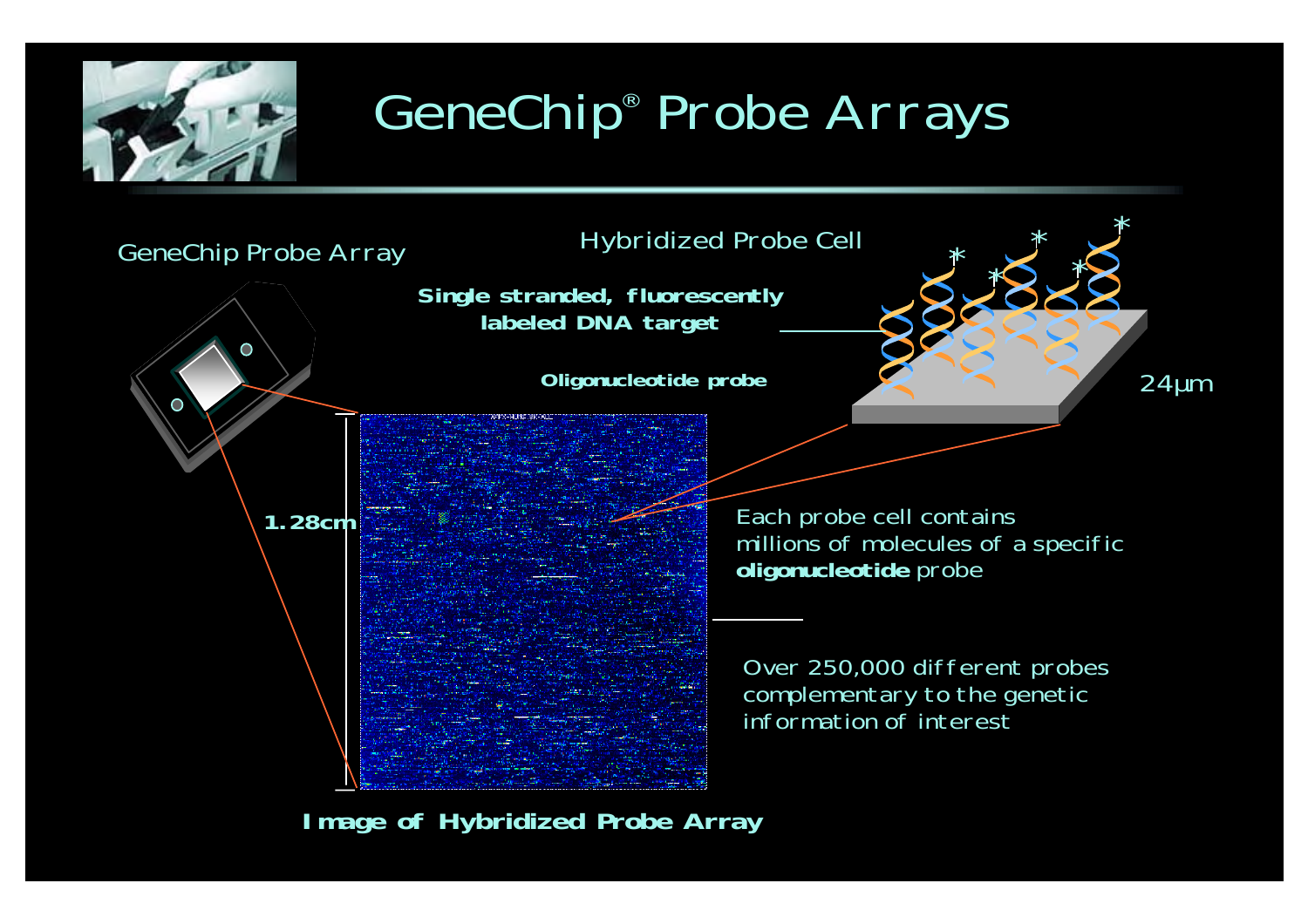

## GeneChip® Probe Arrays



**Image of Hybridized Probe Array**